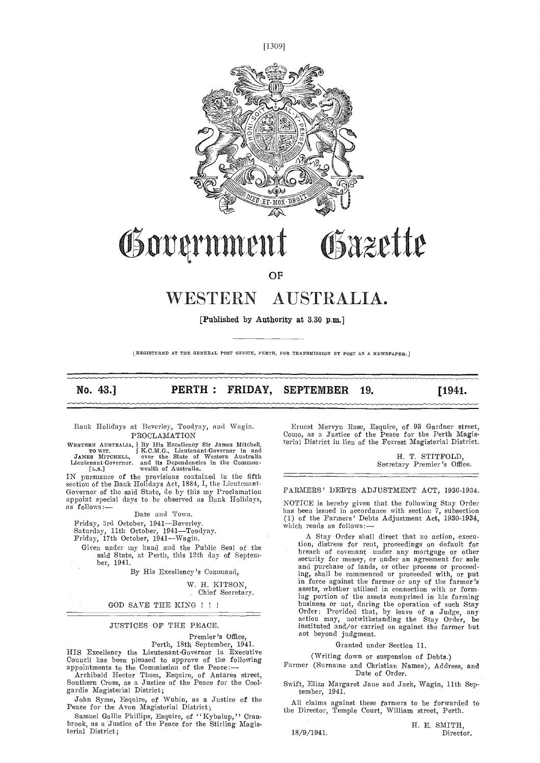



# Government Gazette

OF

## WESTERN AUSTRALIA.

[Published by Authority at 3.30 p.m.]

LREGISTERED AT THE GENERAL POST OFFICE, PERTH, FOR TRANSMISSION BY POST AS A NEWSPAPER.]

No. 43.] **PERTH: FRIDAY, SEPTEMBER 19.** [1941.]

Bank Holidays at Beverley, Toodyay, and Wagin. PROCLAMATION

WESTERN AUSTRALIA, By His Excellency Sir James Mitchell,<br>
TO WIT. (S.M.G., Lieutenant-Governor in and<br>
JAMES MITCHELL, over the State of Western Australia<br>
Lieutenant-Governor. and its Dependencies in the Common-<br>
[L.S.] w

IN pursuance of the provisions contained in the fifth  $\overline{\phantom{a}}$ <br>section of the Bank Holidays Act, 1884, I, the Lieutenant-Governor of the said State, do by this my Proclamation appoint special days to be observed as Bank Holidays, as follows:—

Date and Town.<br>Friday, 3rd October, 1941—Beverley.

Friday, 3rd October, 1941 Beverley.<br>Saturday, 11th October, 1941—Toodyay.<br>Friday, 17th October, 1941—Wagin.

Given under my hand and the Public Seal of the said State, at Perth, this 12th day of September, 1941.

By His Excellency's Command,

W. H. KITSON,

Chief Secretary.

#### GOD SAVE THE KING

#### JUSTICES OF THE PEACE.

Premier's Office,

Perth, 18th September, 1941. HIS Excellency the Lieutenant-Governor in Executive<br>Council has been pleased to approve of the following

appointments to the Commission of the Peace: Archibald Hector Thom, Esquire, of Antares street, Southern Cross, as a Justice of the Peace for the Coolgardie Magisterial District;

John Syme, Esquire, of Wubin, as a Justice of the Peace for the Avon Magisterial District;

Samuel Gallie Phillips, Esquire, of ''Kybalup,'' Cran- brook, as a Justice of the Peace for the Stirling Magisterial District;

Ernest Mei'vyn Rose, Esquire, of 93 Gardner street, Come, as a Justice of the Peace for the Perth Magisterial District in lien of the Forrest Magisterial District.

> H. T. STITFOLD, Secretary Premier's Office.

FARMERS' DEBTS ADJUSTMENT ACT, 1930-1934.

NOTICE is hereby given that the following Stay Order has been issued in accordance with section 7, subsection (1) of the Farmers' Debts Adjustment Act, 1930-1934, which reads as follows:

A Stay Order shall direct that no action, execution, distress for rent, proceedings on default for breach of covenant under any mortgage or other security for money, or under an agreement for sale and purchase of lands, or other process or proceeding, shall be commenced or proceeded with, or put in force against the farmer or any of the farmer's assets, whether utilised in connection with or formbig pot-tion of the assets comprised in his farming business or not, during the operation of such Stay Order: Provided that, by leave of a Judge, any action may, notwithstanding the Stay Order, be instituted and/or carried on against the farmer but not beyond judgment.

#### Granted under Section 11.

(Writing down or suspension of Debts.)

- Farmer (Surname and Christian Names), Address, and Date of Order.
- Swift, Eliza Margaret Jane and Jack, Wagin, 11th Sep-<br>tember, 1941.

All claims against these farmers to he forwarded to the Director, Temple Court, William street, Perth.

18/9/1941.

H. E. SMITH,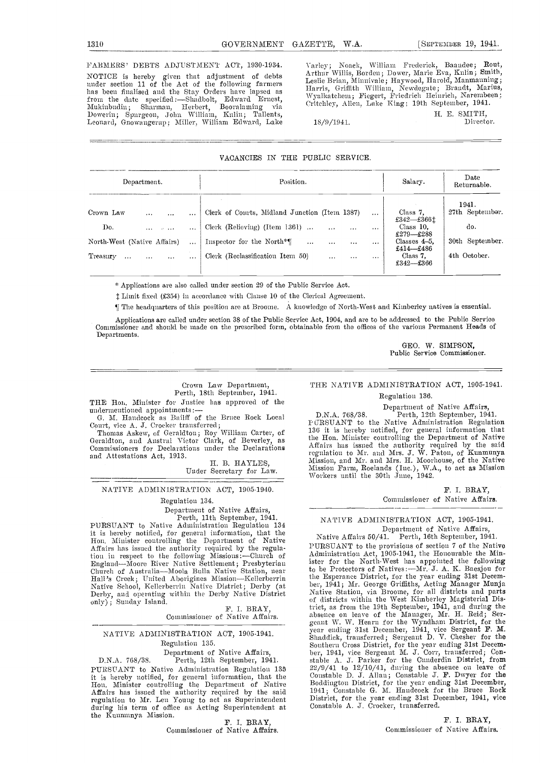FARMERS' DEBTS ADJUSTMENT ACT, 1930-1934. NOTICE is hereby given that adjustment of debts under section 11 of the Act of the following farmers has been finalised and the Stay Orders have lapsed as  $\frac{116}{M}$ from the date specified :—Shadbolt, Edward Ernest, Mukinbudin; Sharman, Herbert, Booralaming via Dowerin; Spurgeon, John William, Kulin; Tallents, Leonard, Gnowangerup; Miller, William Edward, Lake

\arlcv; Noack, William Frederick, Baaudee; Rout, Arthur Willis, Borden; Dower, Marie Eva, Kuhn; Smith, Leslie Brian, Minnivale; Haywood, Harold, Manmanuing; Harris, Griffith William, Newdegate; Brandt, Marius, \Vyulkatehmem ; Fiegert, Friedricli I-Ieinrieh, Narembeen; Critchley, Allen, Lake King; 19th September, 1941.

18/9/1941.

H. E. SMITH,<br>Director.

#### VACANCIES IN THE PUBLIC SERVICE.

| Department.                                  |          | Position.                                         | Salary.  | Date<br>Returnable. |                              |                 |
|----------------------------------------------|----------|---------------------------------------------------|----------|---------------------|------------------------------|-----------------|
|                                              |          |                                                   |          |                     |                              | 1941.           |
| Crown Law<br>$\cdots$<br>$\cdots$            |          | Clerk of Courts, Midland Junction (Item 1387)     |          | $\cdots$            | Class 7,<br>£342-£366 $t$    | 27th September. |
| Do.<br><b>Contractor</b><br>1.11             |          | Clerk (Relieving) (Item 1361)<br>$\cdots$         | $\cdots$ | $\cdots$            | Class $10$ .<br>£279-£288    | do.             |
| North-West (Native Affairs)                  | $\cdots$ | Inspector for the North*<br>$\ddotsc$<br>$\cdots$ | $\cdots$ | $\cdots$            | Classes $4-5$ ,<br>£414—£486 | 30th September. |
| Treasury<br>$\cdots$<br>$\cdots$<br>$\cdots$ | $\cdots$ | Clerk (Reclassification Item 50)<br>$\cdots$      |          | 1.1.1               | Class 7.<br>£342—£366        | 4th October.    |

\* Applications are also called under section 29 of the Public Service Act.

 $\ddagger$  Limit fixed (£354) in accordance with Clause 10 of the Clerical Agreement.

¶ The headquarters of this position are at Broome. A knowledge of North-West and Kimaberley natives is essential.

Applications are called under section 38 of the Public Service Act, 1904, and are to be addressed to the Public Service<br>Commissioner and should be made on the prescribed form, obtainable from the offices of the various Per Departments.

> GEO. W. SIMPSON, Public Service Commissioner.

## Crown Law Department, Perth, 18th September, 1941.

THE Hon. Minister for Justice has approved of the undermentioned appointments:  $\frac{D}{G}$ <br>G. M. Handcock as Bailff of the Bruce Rock Local

Court, vice A. J. Crocker transferred;

Thomas Askew, of Geraldton; Roy William Carter, of Geraldton, and Austral Victor Clark, of Beverley, as the Commissioners for Declarations under the Declarations Aff. and Attestations Act, 1913.

H. B. HAYLES, Under Secretary for Law.

#### NATIVE ADMiNISTRATION ACT, 1905-1940.

Regulation 134.<br>Department of Native Affairs,<br>Perth, 11th September, 1941.

Department of Native Affairs, The Department of Native Affairs, The Perth, 11th September, 1941.<br>PURSUANT to Native Administration Regulation 134

it is hereby notified, for general information, that the N<br>Hon. Minister controlling the Department of Native Affairs has issued the authority required by the regulation in respect to the following Missions :—Church of Admi<br>England—Moore River Native Settlement; Presbyterian ister<br>Church of Australia—Moola Bulla Native Station, near to be Hall's Creek; United Aborigines Mission—Kellerberrin the I<br>Native School, Kellerberrin Native District; Derby (at Der,<br>Derby, and operating within the Derby Native District Mati only); Sunday Island.<br>
F. I. BRAY,

Commissioner of Native Affairs.

#### NATIVE ADMINiSTRATION ACT, 1905-1941. Regulation 135.

Department of Native Affairs,

D.N.A. 768/38. Perth, 12th September, 1941. PURSUANT to Native Administration Regulation 135

it is hereby notified, for general information, that the Hon. Minister controlling the Department of Native Affairs has issued the authority required by the said regulation to Mr. Len Young to act as Superintendent during his term of office as Acting Superintendent at the Kunnunya Mission.<br>
F. I. BRAY,

Commissioner of Native Affairs.

### THE NATIVE ADMINISTRATION ACT, 1905-1941.

### Regulation 136.

Department of Native Affairs, D.N.A. 768/38. Perth, 12th September, 1941.<br>P (JRSU ANT to the Native Administration Regulation 136 it is hereby notified, for general information that<br>the Hon. Minister controlling the Department of Native the Hon. Minister controlling the Department of Native<br>Affairs has issued the authority reqnired by the said regulation to Mr. and Mrs. J. W. Paton, of Kunmunya<br>Mission, and Mr. and Mrs. H. Moorhouse, of the Native Mission Farm, Roelands (Inc.), WA., to net as Mission Workers until the 30th June, 1942.

> F. I. BRAY, Commissioner of Native Affairs.

### NATIVE ADMINISTRATION ACT, 1905-1941. Department of Native Affairs,<br>Native Affairs 50/41. Perth, 16th September, 1941.

Native Affairs 50/41. Perth, 16th September, 1941. PURSUANT to time provisions of section 7 of the Native Administration Act, 1905-1941, the Honourable the Minister for the North-West has appointed the following to be Protectors of Natives:—Mr. J. A. K. Baesjou for<br>the Esperance District, for the year ending 31st December, 1941; Mr. George Griffiths, Acting Manager Munja<br>Native Station, via Broome, for all districts and parts<br>of districts within the West Kimberley Magisterial Distriet, as from the 19th September, 1941, and during the<br>absence on leave of the Manager, Mr. H. Reid; Ser-<br>geant W. W. Hearn for the Wyndham District, for the<br>year ending 31st December, 1941, vice Sergeant F. M.<br>Shaddick, 22/9/41 to 12/10/41, during the absence on leave of Constable D. J. Allan; Constable J. F. Dwyer for the Boddiugton District, for the year ending 31st December, 1941; Constable G. M. Handeock for the Bruce Rock District, for the year ending 31st December, 1941, vice Constable A. J. Crocker, transferred.

> F. I. BRAY, Commissioner of Native Affairs.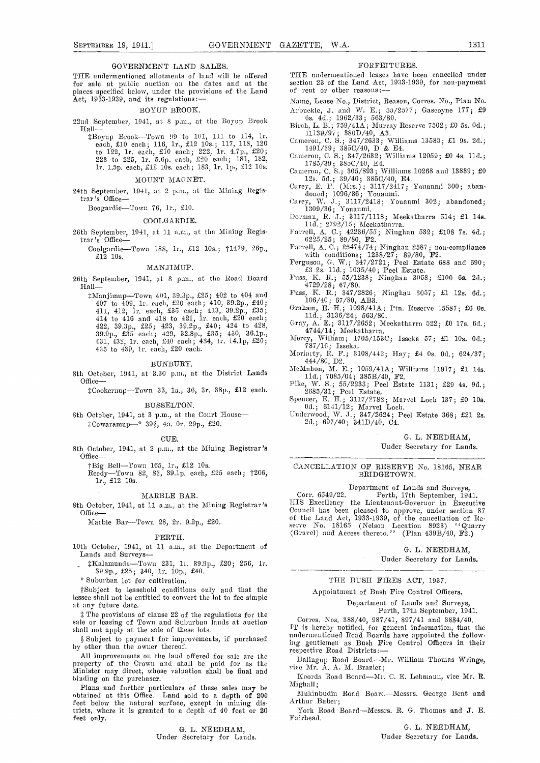THE undermentioned allotments of land will be offered for sale at public auction on the dates and at the section 23 of the Land Act places specified below, under the provisions of the Land of rent or other reasons: places specified below, under the provisions of the Land of rent or other reasons:--<br>Act, 1933-1939, and its regulations:-- Name, Lease No., District, Reason, Corres. No., Plan No.

#### BOYUP BROOK.

22nd September, 1941, at 8 p.m., at the Boyup Brook Hall-

\$Boyup Brook-Town 99 to 101, 111 to 114, 1r. each, £10 each; 116, 1r., £12 10s.; 117, 118, 120 Came to 122, ir. each, £10 each; 222, lr. 4.7 p., £20; 223 to 225, 1r. 5.6p. each, £20 each; 181, 182, ir. iSp. each, £12 lOs. each; 183, ir. ip., £12 lOs.

#### MOUNT MAGNET.

24th September, 1941, at 2 p.m., at the Mining Registrar's Office-

Boogardie-Town 76, 1r., £10.

#### COOLGARDIE.

26th September, 1941, at 11 a.m., at the Mining Registrar's Office-

Coolgardie-Town 188, 1r., £12 10s.; †1479, 26p., £12 lOs.

#### MANJIMUP.

26th September, 1941, at 8 p.m., at the Road Board Hall-

 $\frac{1}{4}$ Manjimup—Town 401, 39.3p., £25; 402 to 404 and 407 to 409, lr. each, £20 each; 410, 39.2p., £40; 411, 412, lr. each, £35 each; 413,. 39.2p., £35; 414 to 416 and 418 to 421, lr. each, £20 each;  $422, 39.3p., 225; 423, 39.2p., 240; 424 to 428,$  $39.9\,\mathrm{p},\,$  £ $35^{'}$  each $;\,$   $429,$   $\,32.8\,\mathrm{p},\,$  £ $35\,;\,$   $\,430,\,$   $36.1\,\mathrm{p},$ 431, 432, 1r. each, £40 each; 434, 1r. 14.1p, £20;<br>435 to 439, 1r. each, £20 each.

#### BIJNBURY.

8th October, 1941, at 3.30 p.m., at the District Lands Office-

\*Cookernup-Town 33, 1a., 36, 3r. 38p., £12 each.

#### BUSSELTON.

8th October, 1941, at 3 p.m., at the Court House-#Cowaramup-\* 399, 4a. 0r. 29p., £20.

#### CUE.

8th October, 1941, at 2 p.m., at the Mining Registrar's Office-

tBig Bell-Town 165, 1r., £12 10s.<br>Reedy-Town 82, 83, 39.1p. each, £25 each; t206, 1r., £12 10s.

#### MARBLE BAR.

8th October, 1941, at 11 n.m., at the Mining Registrar's Office

Marble Bar-Town 28, 2r. 9.2p., £20.

#### PERTH.

10th October, 1941, at 11 a.m., at the Department of Lands and Surveys-

#Kalamunda-Town 231, 1r. 39.9p., £20; 256, 1r. 39.9p., £25; 340, 1r. 10p., £40.

Suburban lot for cultivation.

tSubject to leasehold conditions only and that the lessee shall not be entitled to convert the lot to fee simple at any future date.

The provisions of clause 22 of the regulations for the sale or leasing of Town and Suburban lands at auction shall not apply at the sale of these lots.

All improvements on the land offered for sale are the property of the Crown and shall be paid for as the 1inister may direct, whose valuation shall be final and the 1inister may direct, whose valuation shall be final and binding on the purchaser.

Plans and further particulars of these sales may be <sup>M12</sup><sub>18</sub><sup>113</sup> obtained at this Office. Land sold to a depth of 200 feet below the natural surface, except in mining districts, where it is granted to a depth of 40 feet or 20 feet only.

0. L. NEEDHAM, Under Secretary for Lands.

#### FORFEITURES.

THE undernientioned leases have been cancelled under section 23 of the Land Act, 1933-1939, for non-payment

5asne, Lease No., District, Reason, Corres. No., Plan No. Arbuckle, J. and W. E.; 55/2577; Gascoyne 177; £9

- 6s. 4d.; 1962/33; 563/80. Birch, L. B.; 759/41A; Murray Reserve 7502; £0 55. Od.;
- $11139/97$ ; 380D/40, A3. Cameron, C. 5.; 347/2633; Williams 13583; £1 9s. 2d.;
- 1491/39; 385C/4O, D & E4. Cameron, C. 5.; 347/2632; Williams 12059; £0 4s. lid.;
- 1785/39; 3S5C/4O, E4. Cameron, C. S.; 365/893; Williams 10268 and 13839; £0
- 
- 12s. 5d.; 39/40; 385C/40, E4.<br>Carey, E. F. (Mrs.); 3117/2417; Youanmi 300; aban-<br>doned; 1096/36; Youanmi.<br>Carey, W. J.; 3117/2418; Youanmi 302; abandoned;<br>1309/36; Youanmi.
- Dorman, R. J.; 3117/1118; Meekatharra 514; £1 14s.
- lid.; 2792/15; Meckatharra.
- Farrell, A. C.; 42236/55; Niughan 532; £108 7s. 4d.; 6225/25; 89/80, P2.
- Farrell, A. C.; 25474/74; Ninghan 2587; non-compliance with conditions; 1238/27; 89/80, F2.
- Ferguson, G. W.; 347/2721; Peel Estate 688 and 690;<br>
£3 2s. 11d.; 1035/40; Peel Estate.<br>
Fuss, K. R.; 55/1238; Ninghan 3058; £100 6s. 2d.;
- 
- 4729/28; 67/SO. Fuss, K. B.; 347/2826; Ninghan 3057; £1 12s. 6d. 106/40; 67/SO, AB3.
- Graham, E. H.; 1O98/41A; Ptn. Reserve 15587; £6 Os. lid.; 3136/24; 563/80.
- 11d.; 3136/24; 563/80.<br>Gray, A. E.; 3117/2652; Meekatharra 522; £0 17s. 6d.; 4744/14; Meekatharra.
- Mercy, William; i7O5/l53C; Isseka 57; £1 lOs. Od.; 787/16; Isseka.
- Moriarty, B. F.; 3108/442; hay; £4 Os. Od.; 624/37; 444/80, D2.
- MeMahon, M. F.; lOS9/4lA; Williams 11917; Li l4s. 11d.;  $7085/04$ ;  $385B/40$ ,  $F2$ .
- Pike, W. 5.; 55/2233; Peel Estate 1131; £29 4s. 9d.; 2685/31; Peel Estate.
- Spencer, E. H.; 3117/2782; Marvel Loch 137; £0 lOs. 0d.; 6141/12; Marvel Loch.
- Underwood, W..J.; 347/2624; Peel Estate 368; £21 2s. 2d.; 697/40; 341D/40, C4.

#### G. L. NEEDHAM,

Under Secretary for Lands.

#### CANCELLATION OF RESERVE No. 18165, NEAR BRIDGETOWN.

Department of Lands and Surveys,<br>Corr. 6549/22. Perth, 17th September, 1941.<br>HIS Excellency the Lieutenant-Governor in Executive Council has been pleased to approve, under section 37 of the Land Act, 1933-1939, of the cancellation of Re. serve No. <sup>18165</sup> (Nelson Location 8923) ''Quarry serve No. 18165 (Nelson Location 8923) "Qua<br>(Gravel) and Access thereto." (Plan 439B/40, F2.)

> G. L. NEEDHAM, Under Secretary for Lands.

THE BUSH FIRES ACT, 1937.

Appointment of Bush Fire Control Officers.

Department of Lands and Surveys, Perth, 17th September, 1941.

(in Subject to payment for improvements, if purchased in the innovement of the owner thereof.<br>by other than the owner thereof.<br>presented by  $\frac{1}{2}$  control of the control Officers in their Corres. Nos. 388/40, 987/41, 897/41 and 3884/40. IT is hereby notified, for general information, that the undermentioned Road Boards have appointed the follow. respective Road Districts:-

Balingup Road Board-Mr. William Thomas Wringe,

Koorda Road Board-Mr. C. E. Lehmaun, vice Mr. R. Mighall;

Mukinbudin Road Board-Messrs. George Bent and Arthur Baber;

York Road Board-Messrs. R. G. Thomas and J. E. Fairhead.

> G. L. NEEDHAM, Under Secretary for Lands.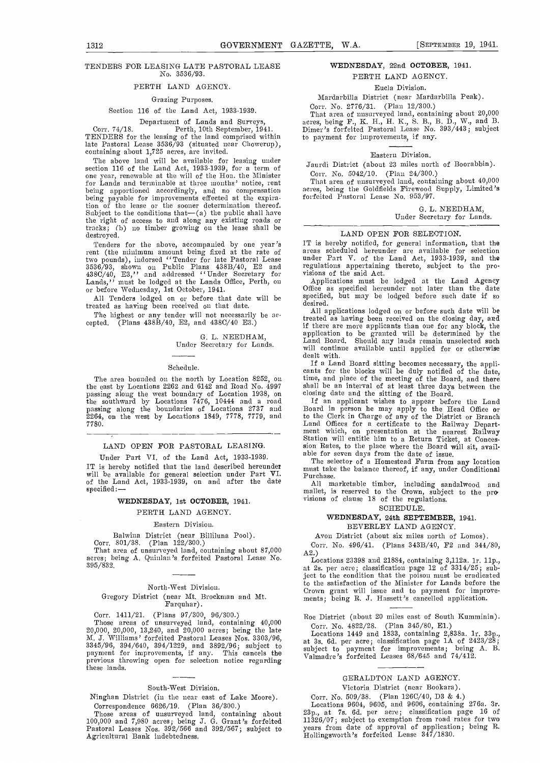#### TENDERS FOR LEASING LATE PASTORAL LEASE No. 3536/93.

#### PERTH LAND AGENCY.

#### Grazing Purposes.

#### Section 116 of the Land Act, 1933-1939.

Department of Lands and Surveys,<br>Perth, 10th September, 1941.

Corr. 74/18. Perth, 10th September, 1941. Dime<br>TENDERS for the leasing of the land comprised within to pa late Pastoral Lease 3536/93 (situated hear Chowerup), containing about 1,725 acres, are invited.

The above land will be available for leasing under section 116 of the Land Act, 1933-1939, for a term of one year, renewable at the will of the Hon. the Minister for Lands and terminable at three months' notice, rent being apportioned accordingly, and no compensation acre tion of the lease os the sooner determination thereof. Subject to the conditions that—(a) the public shall have<br>the right of access to and along any existing roads or<br>tracks; (b) no timber growing on the lease shall be destroyed.

Tenders for the above, accompanied by one year's IT rent (the minimum amount being fixed at the rate of two pounds), indorsed ''Tender for late Pastoral Lease under<br>3536/93, shown on Public Plans 438B/40, E2 and regula<br>438C/40, E3,'' and addressed ''Under Secretary for visions<br>Lands,'' must be lodged at the Lands Office, Per or before Wednesday, 1st October, 1941.

All Tenders lodged on or before that date will be specified treated as having been received on that date.

The highest or any tender will not necessarily he ac-cepted. (Plans 438B/40, E2, and 438C/40 E3.)

G. L. NEEDHAM, Under Secretary for Lands.

#### Schedule.

The area bounded on the north by Location 8252, on the east by Locations 2262 and 6142 and Road No. 4997 the east by Locations 2262 and 6142 and Road No. 4997 shall<br>passing along the west boundary of Location 1938, on closin the southward by Locations  $7476, 10444$  and a road 1f passing along the boundaries of Locations 2737 and  $\overline{2}264$ , on the west by Locations 1849, 7778, 7779, and to the 7780.

#### LAND OPEN FOR PASTORAL LEASING.

Under Part VI. of the Land Act, 1933-1939.<br>IT is hereby notified that the land described hereunder IT is hereby notified that the land described hereunder and that take the balance thereof, if any, under Conditional will be available for general selection under Part VI. Purchase.<br>Of the Land Act, 1933-1939, on and after specified:

#### WEDNESDAY, 1st OCTOBER, 1941.

#### PERTH LAND AGENCY.

#### Eastern Division.

Balwina District (near Billiluna Pool).

Corr. 801/38. (Plan 122/300.)

That area of unsurveyed land, containing about 87,000  $A_{2}^{20}$ <br>acres; being A. Quinlan's forfeited Pastoral Lease No.  $A_{Lc}^{20}$ 3 95/832.

### North-West Division. Gregory District (near Mt. Brockman and Mt. Farquhar).

Corr. 1411/21. (Plans 97/300, 96/300.)

Those areas of unsurveyed land, containing  $40,000$ 20,000, 20,000, 13,240, and 20,000 acres; being the late H.<br>M. J. Williams' forfeited Pastoral Leases Nos. 3303/96,  $\frac{1}{31}$  $3345/96$ ,  $394/640$ ,  $394/1229$ , and  $3892/96$ ; subject to subject payment for improvements, if any. This cancels the  $\sum_{\text{Vah}}^{\text{SU}(2)}$ previous throwing open for selection notice regarding these lands.

#### South-West Division.

Ninghan District (in the near east of Lake Moore).

Correspondence ouzo, 15. (1 han boy book)<br>Those areas of unsurveyed land, containing about<br>100,000 and 7,980 acres; being J. G. Grant's forfeited<br>Pastoral Leases Nos. 392/566 and 392/567; subject to<br>Agricultural Bank indeb

#### WEDNESDAY, 22nd OCTOBER, 1941.

### PERTH LAND AGENCY.

Eucla Division.

Mardarhila District (near Mardarbilla Peak).

#### Corr. No. 2776/31. (Plan 12/300.)

That area of nnsurveyed land, containing about 20,000 acres, being F., K. H., H. K., S. B., B. D., W., and B. Dimer 's forfeited Pastoral Lease No. 393/443; subject to payment for improvements, if any.

Eastern Division.

Jaurdi District (about 23 miles north of Boorabbin). Corr. No. 5042/10. (Plan 24/300.)

That area of unsurveyed land, containing about 40,000 acres, being the Goldfields Firewood Supply, Limited's forfeited Pastoral Lease No. 953/97.

G. L. NEEDHAM,

#### Under Secretary for Lands.

#### LAND OPEN FOR SELECTION.

IT is hereby notified, for general information, that the areas scheduled hereunder arc available for selection under Part V. of the Land Act, 1933-1939, and the regulations appertaining thereto, subject to the pro-<br>visions of the said Act.

Applications must be lodged at the Land Agency Office as specified hereunder not later than the date specified, but may be lodged before such date if so desired.

All applications lodged on or before such date will be treated as having been received on the closing day, and replication to be granted will be determined by the Land Board. Should any lands remain unselected such will continue available until applied for or otherwise dealt with.

If a Land Board sitting becomes necessary, the appli- cants for the blocks will be duly notified of the date, time, and place of the meeting of the Board, and there shall be an interval of at least three days between the

closing date and the sitting of the Board.<br>If an applicant wishes to appear before the Land<br>Board in person he may apply to the Head Office or<br>to the Clerk in Charge of any of the District or Branch Land Offices for a certificate to the Railway Depart-<br>ment which, on presentation at the nearest Railway<br>Station will entitle him to a Return Ticket, at Concession Rates, to the place where the Board will sit, avail- able for seven days from the date of issue.

The selector of a Homestead Farm from any location must take the balance thereof, if any, under Conditional Purchase.

All marketable timber, including sandalwood and<br>mallet, is reserved to the Crown, subject to the pro visions of clause 18 of the regulations.

SCHEDULE.

#### WEDNESDAY, 24th SEPTEMBER, 1941. BEVERLEY LAND AGENCY.

Avon District (about six miles north of Lomos). Corr. No. 496/41. (Plans 343B/40, F2 and 344/80, A2.)<br>Locations 23398 and 21884, containing 3,112a. 1r. 11p.,

at 2s. per acre; classification page 12 of 3314/25; subject to the condition that the poison must be eradicated to the satisfaction of the Minister for Lands before the Crown grant will issue and to payment for improve- ments; being R. J. Hassett's cancelled application.

Roe District (about 20 miles east of South Kumminin). Corr. No. 4822/28. (Plan 345/80, El.)

Locations 1449 and 1833, containing 2,838a. 1r. 33p., at 3s. 6d. per acre; classification page 1A of 2423/28; subject to payment for improvements; being A. B. Valmadre's forfeited Leases 68/645 and 74/412.

#### GERALDTON LAND AGENCY.

Victoria District (near Bookara).

Corr. No. 509/38. (Plan 126C/40, D3 & 4.) Locations 9604, 9605, and 9606, containing 276a. 3r. 23p., at 7s. 6d. per acre; classification page 16 of years from date of approval of application; being R. Hollingsworth's forfeited Lease 347/1830.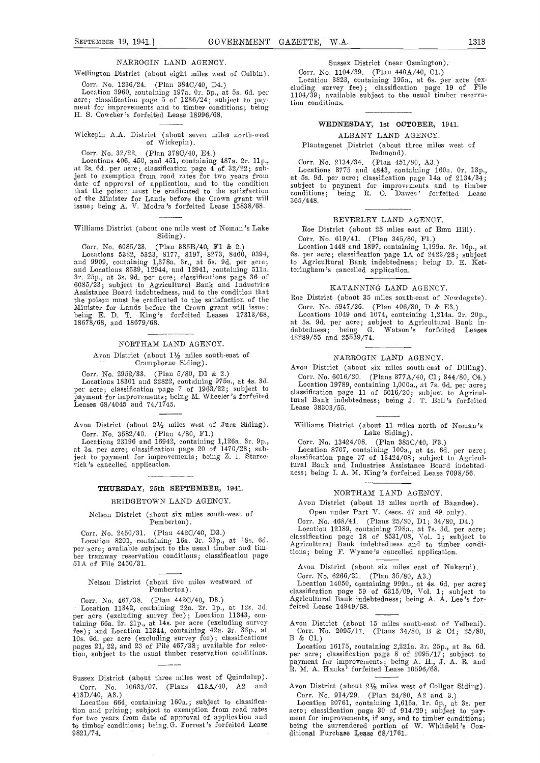#### NARROGIN LAND AGENCY.

Wellington District (about eight miles west of Culbin). Corr. No. 1236/24. (Plan 384C/40, D4.)

Location 3960, containing 197a. Or. 5p., at 5s. 6d. per acre; classification page 5 of 1236/24; subject to pay-<br>ment for improvements and to timber conditions; being tion I{. S. Cowclier 's forfeitid Lease 18996/68.

## Wickepin A.A. District (about seven miles north-west of Wickepin).

#### Corr. No. 32/22. (Plan 378C/4O, E4.)

Locations 406, 450, and 451, containing 487a. 2r. lip., at 2s. 66. pci' acre; classification page 4 of 32/22; subject to exemption from road rates for two years from at 5s. 9d. per date of approval of application, and to the condition subject that the poison must be eradicated to the satisfaction condiof the Minister for Lands before the Crown grant will issue; being A. V. Modra 's forfeited Lease 15838/68.

#### Williams District (about one mile west of Noman's Lake Siding).

Corr. No. 6085/23. (Plan 385B/40, F1 & 2.)

Locations 5322, 5323, 8177, 8197, 8273, 8460, 9394, 6s.<br>and 9909, containing 1,378a. 3r., at 5s. 9d. per acre; to<br>and Locations 8539, 12944, and 12941, containing 511a. teri<br>3r. 25p., at 3s. 9d. per acre; classifications the poison must be eradicated to the satisfaction of the <sup>Roe</sup><br>Minister for Lands before the Crown grant will issue; C<br>being E. D. T. King's forfeited Leases 17313/68, L 18678/68, and 18679/68.

#### NORTHAM LAND AGENCY.

#### Avon District (about  $1\frac{1}{2}$  miles south-east of Cramphorne Siding).

Oorr. No. 2952/33. (Plan 5/80, Dl & 2.) Locations 18301 and 22822, coutaining 975a., at 4s. 3d. per acre; classification page 7 of 1963/22; subject to payment for improvements; being M. Wheeler's forfeited Leases  $68/4045$  and  $74/1745$ .

Avon District (about 21/2 miles west of Jura Siding). Corr. No. 3582/40. (Plan 4/80, Fl.)

Locations 23196 and 16942, containing l,126a. 3r. Pp., at 3s. per acre; classification page 20 of 1470/28; subject to payment for improvements; being Z. I. Starcevich's cancelled application.

#### THURSDAY, 25th SEPTEMBER, 1941.

#### BRIDGETOWN LAND AGENCY.

#### Nelson District (about six miles south-west of Pemberton).

Corr. No. 2450/31. (Plan 442C/40, D3.)<br>
Location 8201, containing 16a. 3r. 33p., at 18s. 6d. also<br>
per acre; available subject to the usual timber and tim-<br>
ber tramway reservation conditions; classification page<br>
tion ber tramway reservation conditions; classification page 51A of File 2450/31.

#### Nelson District (about five miles westward of Pemberton).

Corr. No. 467/38. (Plan 442C/40, D3.)

Location 11342, containing 22a. 2r. 1p., at 12s. 3d. per acre (excluding survey fee); Location 11343, containing 66a. 2r. 21p., at 14s. per acre (excluding survey Avon<br>fee); and Location 11344, containing 42a. 3r. 38p., at Com<br>10s. 6d. per acre (excluding survey fee); classi pages 21, 22, and 23 of File 467/38; available for selection, subject to the usual timber reservation conditions.

- Sussex District (about three miles west of Quindalup). Corr. No. 10633/07. (Plans 413A/40, A2 and Avon District (about 2 $\frac{5}{2}$  miles west of Collgar 413D/40, A3.) Corr. No. 914/29. (Plan 24/80, A2 and 3.)
- Location 664, containing 160a.; subject to classification and pricing; subject to exemption from road rates for two years from date of approval of application and ment to timber conditions; being G. Forrest's forfeited Lease 9821/74.

#### Sussex District (near Osmington).

Corr. No. 1104/39. (Plan 440A/4O, Cl.)

Location 3823, containing 195a., at Gs. per acre (ex-cluding survey fee) ; classification page 19 of File 1104/39; available subject to the usual timber reservation conditions.

#### WEDNESDAY, 1st OCTOBER, 1941.

#### ALBANY LAND AGENCY.

Plantageaet District (about three miles west of Redmond).

Corr. No. 2134/34. (Plan  $451/80$ , A3.)<br>Locations 3775 and  $4843$ , containing 160a. 0r. 13p.,<br>at 5s. 9d. per acre; classification page 14a of 2134/34;<br>subject to payment for improvements and to timber<br>conditions; being R. 365/448.

#### BEVERLEY LAND AGENCY.

Roe District (about 25 miles east of Emu Hill).

Corr. No. 619/41. (Plan 345/80, F1.)<br>Location 1448 and 1897, containing 1,199a. 3r. 16p., at 65. per acre; classification page 1A of 2423/28; subject to Agricultural Bank indebtedness; being D. E. Ketteringham's cancelled application.

#### KATANNING LAND AGENCY.

Roe District (about 35 miles south-east of Newdegate).

Corr. No. 5947/26. (Plan 406/80, D & E3.)<br>Locations 1049 and 1074, containing 1,214a. 2r. 20p., at 5s. 9d. per acre; subject to Agricultural Bank in-<br>debtedness; being G. Watson's forfeited Leases 42289/55 and 25539/74.

#### NARROGIN LAND AGENCY.

Avon District (about six miles south-east of Dilling). Corr. No. 6016/20. (Plans  $377A/40$ , C1;  $344/80$ , C4.)

Location 19789, containing 1,000a., at 7s. 6d. per acre;<br>classification page 11 of 6016/20; subject to Agricultural Bank indebtedness; being J. T. Bell's forfeited<br>Lease 38303/55.

Williams District (about 11 miles north of Noman's Lake Siding).

Corr. No. 13424/08. (Plan  $385C/40$ , F3.)<br>Location 8707, containing 100a., at 4s. 6d. per acre; dissification page 37 of 13424/08; subject to Agricultural Bank and Industries Assistance Board indebtedness; being I. A. M. King's forfeited Lease 7098/56.

#### NORTHAM LAND AGENCY.

Avon District (about 13 miles north of Baandee).

Open under Part V. (sees. 47 and 49 only).

Corr. No. 468/41. (Plans 25/SO, Dl; 34/SO, D4.) Location 12189, containing 795a., at 7s. 3d. per acre; classification page 18 of 8531/OS, Vol. 1; subject to Agricultural Bank indebtedness and to timber conditions; being F. Wynue 's cancelled application.

Avon District (about six miles east of Nukarni). Corr. No. 6266/21. (Plan 35/80, A3.)

Location 14050, containing 999a., at 4s. 6d. per acre; classification page 59 of 6315/09, Vol. 1; subject to Agricultural Bank indebtedness; being A. A. Lee's forfeited Lease 14949/68.

Avon District (about 15 miles south-east of Yelbeni). Corr. No. 2095/17. (Plans 34/SO, B & 04; 25/80, B & Cl.)

Location 16175, containing 2,221a. 3r. 25p., at 3s. Gd. per acre; classification page 8 of 2095/17; subject to payment for improvements; being A. H., J. A. R. and R. M. A. Hanks' forfeited Lease 10596/68.

Avon District (about 21/2 miles west of Collgar Siding).

Corr. No. 914/29. (Plan 24/80, A2 and 3.)<br>Location 20761, containing 1,615a. 1r. 5p., at 3s. per<br>acre; classification page 30 of 914/29; subject to pay-<br>ment for improvements, if any, and to timber conditions;<br>being the s ditional Purchase Lease 68/1761.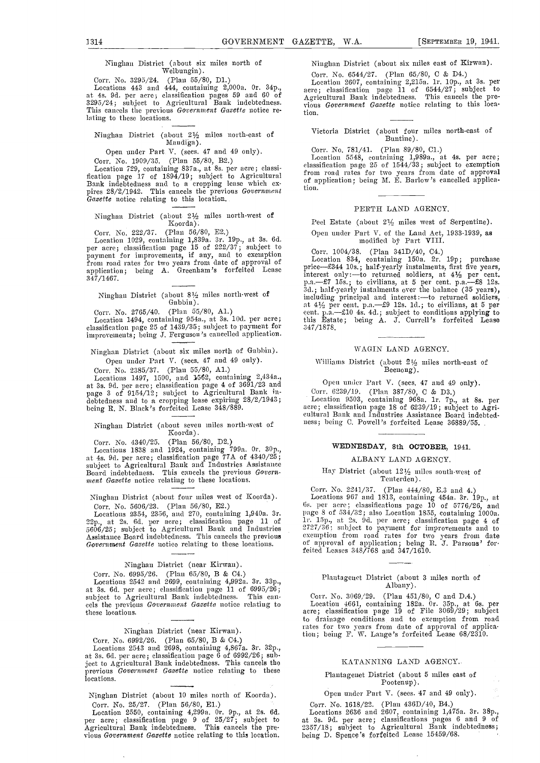## Ninghan District (about six miles north of

Welbungin).<br>Corr. No. 3295/24. (Plan 55/80, D1.)<br>Locations 443 and 444, containing 2,000a. 0r. 34p. at 4s. 9d. per acre, classification pages 59 and 60 of<br>3295/24; subject to Agricultural Bank indebtedness.<br>This cancels the previous *Government Gazette* notice relating to these locations.

## Ninghan District (about 21% miles north-east of Mandiga).

Open under Part V. (sees. 47 and 49 only). Corr. No. 1909/35. (Plan 55/80, B2.)

Location 729, containing 837a., at 8s. per acre; classification page 17 of 1894/19; subject to Agricultural f Bank indebtedness and to a cropping lease which expires  $28/2/1942$ . This cancels the previous *Government* Gaze

Ninghau District (about 2% miles north-west of  $\rm K_{0}$ orda).

Corr. No. 222/37. (Plan 56/80, E2.) Ope<br>
Location 1029, containing 1,839a. 3r. 19p., at 3s. 6d.<br>
per acre; classification page 15 of 222/37; subject to payment for improvements, if any, and to exemption the contraction of the contraction of the contraction of the contraction of the contraction of the contraction of the contraction of the contraction of the contraction of application; being A. Greenham's forfeited Lease  $\prod_{i=1}^{p+1}$ 347/1467.

## Ninghan District (about 8% miles north-west of Gabbin).

Corr. No. 2765/40. (Plan 55/80, A1.)<br>Location 1494, containing 954a., at 3s. 10d. per acre; classification page 25 of 1439/35; subject to payment for improvements; being J. Ferguson's cancelled application.

Ninglian District (about six miles north of Gabbin). Open under Part V. (sees. 47 and 49 only).

Corr. No. 2385/37. (Plan 55/80, Al.)

 $\rm Locations$  1497, 1500, and 1562, containing 2,434a., at 3s. 9d. per acre; classification page 4 of 3691/23 and<br>page 3 of 9154/12; subject to Agricultural Bank in-<br>debtedness and to a cropping lease expiring 28/2/1943; being R. N. Black's forfeited Lease 348/889. acre;

#### Ninglian District (about seven miles north-west of Koorda).

Corr. No. 4340/25. (Plan 56/80, D2.) Locations 1838 and 1924, containing 799a. Or. 30p., at 4s. 9d. per acre; classification page 77A of 4340/25; subject to Agricultural Bank and Industries Assistance Board indebtedness. This cancels the previous Govern-<br>ment Gazette notice relating to these locations.

Ninghan District (about four miles west of Koorda). Corr. No. 5606/23. (Plan 56/80, E2.)

Locations 2354, 2356, and 270, containing 1,940a. 3r. at 2s. 6d. per acre; classification page 11 of  $\frac{11}{25}$ 5606/25; subject to Agricultural Bank and Industries 272<br>Assistance Board indebtedness. This cancels the previous exe<br>Government Gazette notice relating to these locations. of

#### Niaghan Distriet (near Kirwan).

Corr. No. 6995/26. (Plan 65/80, B & C4.)

Locations 2542 and 2699, containing 4,992a. 3r. 33p., at 3s. 6d. per acre; classification page 11 of 6995/26;<br>subject to Agricultural Bank indebtedness. This cansubject to Agricultural Bank indebtedness. This cancels the previous Government Gazette notice relating to these locations.

#### Ninghan District (near Kirwan).

Corr. No. 6992/26. (Plan 65/80, B & C4.)<br>Locations 2543 and 2698, containing 4,867a. 3r. 32p., at 3s. 6d. per acre; classification page 6 of 6992/26; subject to Agricultural Bank indebtedness. This cancels the previous Government Gazette notice relating to these locations.

Niughan District (about 10 miles north of Koorda). Corr. No. 25/27. (Plan 56/80, El.)

Location 2550, containing 4,299a. Or. 9p., at 2s. 6d. per acre; classification page 9 of 25/27; subject to Agricultural Bank indebtedness. This cancels the previous Government Gazette notice relating to this location.

 $\bar{\mathcal{A}}$ 

Niughan District (about six miles east of Kirwan).

Gory. No. 6544/27. (Plan 65/80, C & D4.) Location 2607, containing 2,2l5a. li. lOp., at 3s. per acre; classification page 11 of 6544/27; subject to Agricultural Bank indebtedness. This cancels the pre-<br>vious Government Gazette notice relating to this location.

#### Victoria District (about four miles north-east of Buntine).

Corr. No. 781/41. (Plan 89/80, C1.)<br>Location 5548, containing 1,989a., at 4s. per acre;<br>classification page 25 of 1544/33; subject to exemption from road rates for two years from date of approval of application; being M. E. Barlow's cancelled application.

#### PERTH LAND AGENCY.

Peel Estate (about 21/2 miles west of Serpentine).

## Open under Part V. of the Land Act, 1933-1939, as mothfied bj' Part VIII.

Corr. 1004/38. (Plan 341D/40, C4.)<br>Location 834, containing 150a. 2r. 19p; purchase<br>price—£344 10s.; half-yearly instalments, first five years, Location 834, containing 150a. 2r. 19p; purchase<br>price—£344 10s.; half-yearly instalments, first five years,<br>interest only:—to returned soldiers, at  $4\frac{1}{2}$  per cent.<br>p.a.—£7 15s.; to civilians, at 5 per cent. p.a.—£8 this Estate; being A. J. Currell 'a forfeited Lease :347/1878.

#### WAGIN LAND AGENCY.

#### Williams District (about  $2\frac{1}{2}$  miles north-east of Beenong).

Open under Part V. (sees. 47 and 49 only).

Purr. (3239/19. (Plan 387/80, C & D3.) Location 9503, containing 968n. li. 7p., at Se. per acre; classification page 18 of 6239/19; subject to Agri- cultural Bank and Industries Assistance Board indebtedness; being C. Powell's forfeited Lease 36889/55.

#### WEDNESDAY, 8th OCTOBER, 1941.

#### ALBANY LAND AGENCY.

### Hay District (about 121/2 miles south-west of Tenterden).

Corr. No. 2241/37. (Plan 444/80, E.3 and 4.) Locations 967 and 1813, containing 454a. 3r. 191)., at 6s. per acre; classifications page  $10$  of  $5776/26$ , and page 8 of 534/32; also Location 1855, containing 1000a.<br>1r. 15p., at 2s. 9d. per acre; classification page 4 of<br>2727/36; subject to payment for improvements and to exemption from road rates for two years from date<br>of approval of application; being R. J. Parsons' for-<br>feited Leases 348/768 and 347/1610.

## Plantagenet District (about 3 miles north of Albany).

Corr. No. 3069/29. (Plan 451/80, C and D.4.) Location 4661, contaiuing 182a. Or. 35p., at 6s. per acre; classification page 19 of File 3069/29; subject to drainage couditions and to exemption from road rates for two years from date of approval of application; being F. W. Lange's forfeited Lease 68/2310.

#### KATANN1NG LAND AGENCY.

Plantagenet District (about 5 miles east of Pootenup).

Open under Part V. (sees. 47 and 49 only). Corr. No. 1618/22. (Plan 436D/40, B4.)

Locations 2636 and 2607, containing l,475a. 3r. 38p., at 3s. 9d. per acre; classifications pages 6 and 9 of 2357/18; subject to Agricultural Bank indebtedness; being D. Spence's forfeited Lease 15459/68.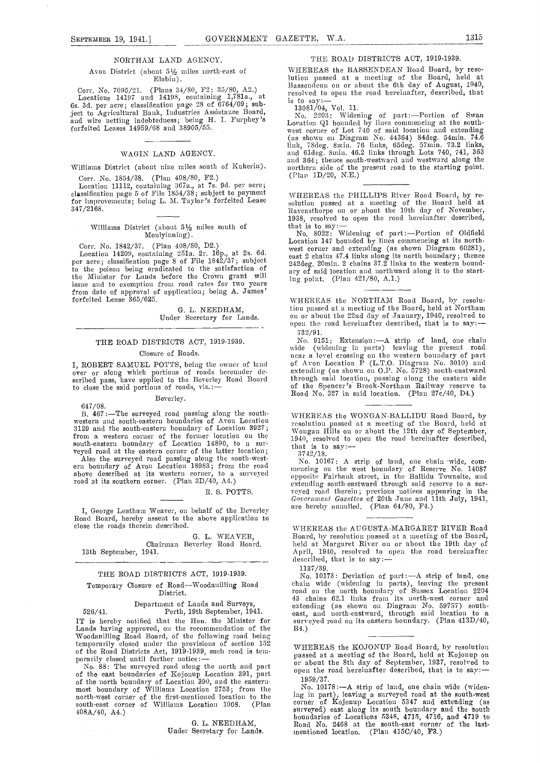#### NORTHAM LAND AGENCY.

Avon District (about  $5\frac{1}{2}$  miles north-east of Elabin).

Corr. No. 7095/21. (Plans 34/80, F2; 35/80, A2.) Locations 14197 and 14198, containing 1,781a., at 6s. 3d. per acre; classification page 28 of 6764/09; subject to Agricultural Bank, Industries Assistance Board,  $\frac{1}{100}$ <br>and wire netting indebtedness; being H. I. Furphey's  $\frac{1}{1000}$ forfeited Leases 14959/08 and 38905/55.

#### WAGIN LAND AGENCY.

Williams District (about nine miles south of Kukerin) Corr. No. 1854/38. (Plan 408/80, F2.)

Location 11112, containing 367a., at 7s. 9d. per acre;<br>classification page 5 of File 1854/38; subject to payment 347/2168.

#### Williams District (about 5½ miles south of Moulyinning).

to the poison being eradicated to the satisfaction of the Minister for Lands before the Crown grant will issue and to exemption froni road rates for two years from date of approval of application; being A. James' forfeited Lease 365/625.

G. L. NEEDHAM, Under Secretary for Lands.

#### THE ROAD DISTRICTS ACT, 1919-1939.

#### Closure of Roads.

I, ROBERT SAMUEL POTTS, being the owner of land of A<br>over or along which portions of roads hereunder de- exter<br>scribed pass, have applied to the Beverley Road Board throu to close the said portions of roads,  $\text{viz}:=$ 

Beverley.

647/08.<br>B. 467:--The surveyed road passing along the south-B. 467:-The surveyed road passing along the south-<br>western and south-eastern boundaries of Avon Location resol 3129 and the south-eastern boundary of Location 3927;<br>from a western corner of the former location on the  $\frac{1940}{1940}$ south-eastern boundary of Location 14890, to a sur-<br>veyed road at the eastern corner of the latter location;  $\frac{374}{374}$ <br>also the surveyed road passing along the south-west-<br>ern boundary of Avon Location 18983; from the

above described at its western corner, to a surveyed road at its southern corner. (Plan 3D/40, A4.)

#### B. S. POTTS.

I, George Leatham Weaver, on behalf of the Beverley are a Road Board, hereby assent to the above application to close the roads therein described.

G. L. WEAVER, Chairman Beverley Road Board. 13th September, 1941.

#### THE ROAD DISTRICTS ACT, 1919-1939.

## Temporary Closure of Road-Woodanilling Road District.

Department of Lands and. Surveys, 526/41. Perth, 19th September, 1941.

IT is hereby notified that the Hon. the Minister for survey Lands having approved, on the recommendation of the B4.)<br>Woodanilling Road Board, of the following road being temporarily closed under the provisions of section  $152$   $\text{W}\text{H}$ 

of the Road Districts Act, 1919-1939, such road is temporarily closed until further notice:—<br>
No. 88: The surveyed road along the north and part<br>
of the east boundaries of Kojouup Location 391, part<br>
of the north boundary south-east corner of Williams Location 1008. (Plan  $\frac{\text{corr6}}{\text{corr6}}$ 4O8A/40, A4.)

> G. L. NEEDHAM, Under Secretary for Lands.

#### THE ROAD DISTRICTS ACT, 1919.1939.

WHEREAS the BASSENDEAN Road Board, by resolution passed at a meeting of the Board, held at Bassendean on or about the 6th day of August, 1940, Bassendean on or about the 6th day of August, 1940, resolved to open the road hereinafter, described, that is to say: —<br>is to say: —<br>13081/04, Vol. 11.

No. 2203: Widening of part: Portion of Swan Location Qi bounded by lines conuneneing at the south- west corner of Lot 740 of said location and extending (as shown Oil Diagram No. 44364) 84deg. 54mm. 74.6 link, 78deg. 8min. 76 links, 65deg. 57min. 73.2 links,<br>and 61deg. 8min. 46.2 links through Lots 740, 741, 363 and 364; thence south-westward and westward along the northern side of the present road to the starting point.<br>(Plan 1D/20, N.E.)

classification page 5 of File 1854/38; subject to payment WHEREAS the PHILLIPS River Road Board, by refor improvements; being L. M. Taylor's forfeited Lease<br>347/2168. Ravensthorpe on or about the 10th day of November,

Corr. No. 1842/37. (Plan 408/80, D2.)<br>
Location 147 bounded by lines commencing at its north-<br>
Location 14209, containing 251a. 2r. 16p., at 2s. 6d.<br>
per acre; classification page 8 of File 1842/37; subject<br>
242deg. 20min. 1938, resolved to open the road hereinafter described,<br>that is to say:—<br>No.  $8022$ : Widening of part:—Portion of Oldfield<br>Location 147 bounded by lines commencing at its north-<br>tectoruer and extending (as shown Diagram 60 any of said location and northward along it to the starting point. (Plan 421/80, A.1.)

> WHEREAS the NORTHAM Road Board, by resolution passed at a meeting of the Board, held at Northam<br>on or about the 22nd day of January, 1940, resolved to<br>open the. road hereinafter described, that is to say:-732/91.

No. 9151: Extension: - A strip of land, one chain<br>wide (widening in parts) leaving the present road near a level crossing on the western boundary of part<br>of Avon Location P (L.T.O. Diagram No. 3010) and extending (as shown on O.P. No. 5728) south-eastward through said location, passing along the eastern side of the Spencer's Brook-Northain Railway reserve to Road No. 327 in said location. (Plan 27c/40, D4.)

WHEREAS the WONGAN-BALLIDU Road Board, by<br>resolution passed at a meeting of the Board, held at<br>Wongan Hills on or about the 12th day of September, resolution passed at a meeting of the Board, held at Wongan Hills on or about the 12th day of September, 1940, resolved to open the road hereinafter described, that is to say:— $3742/18$ .

No. 10167: A strip of land, one chain wide, com-<br>mencing on the west boundary of Reserve No. 14087 opposite Fuirhank street, in the Ballidu Towasite, and extending south-east ward through south-east weyed road therein; previous notices appearing in the Government Gazettes of 20th June and 11th July, 1941, are hereby annulled. (Plan 64/SO, F4.)

WHEREAS the AUGUSTA-MARGARET RIVER Road Board, by resolution passed at a meeting of the Board, held at Margaret River on or about the 19th day of April, 1940, resolved to open the road hereinafter described, that is to say:--<br>1137/39.

1137/39.<br>No. 10173: Deviation of part:—A strip of land, one chain wide (widening in parts), leaving the present road on the north boundary of Sussex Location 2204 43 chains 62.1 links from its north-west corner and extending (as shown on Diagrani No. 59757) south-east, and north-eastward, through said location to a surveyed road on its eastern boundary. (Plan 413D/40, B4.)

WHEREAS the KOJONUP Road Board, by resolution passed at a meeting of the Board, held at Kojonup on or about the 8th day of September, 1937, resolved to open the road hereinafter described, that is to say:-

1959/37.<br>No. 10178: - A strip of land, one chain wide (widen-No. 10178:A strip of land, one chain wide (widen. ing in part), leaving a surveyed road at the south-west corner of Kojonup Location 5347 and extending (as surveyed) east along its south boundary and the South boundaries of Locations 5348, 4715, 4716, and 4719 to<br>Road No. 2468 at the south-east corner of the last-<br>mentioned location. (Plan 415C/40, F3.)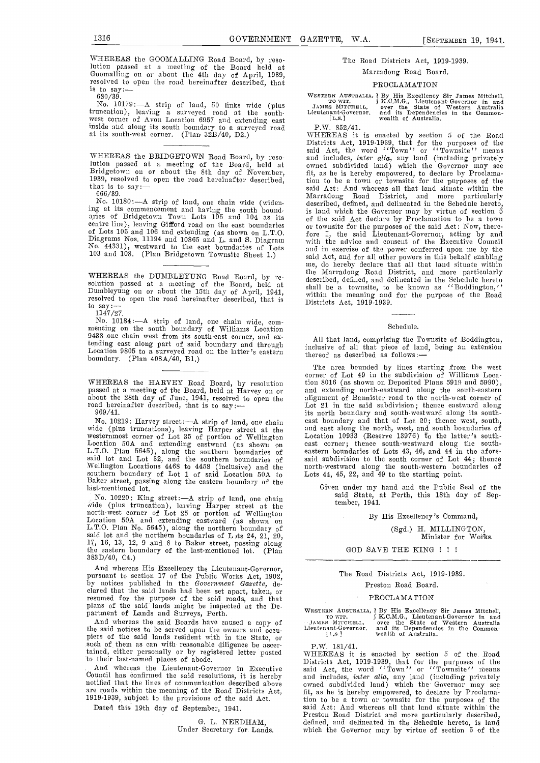WHEREAS the GOOMALLING Road Board, by resolution passed at a meeting of the Board held at Goomalling on or about the 4th day of April, 1939, resolved to open the road hereinafter described, that is to say:... 680/39.

No. 10179: - A strip of land, 50 links wide (plus truncation), leaving a surveyed road at the south-west corner of Avon Location 6957 and extending east inside and along its south boundnry to a surveyed road at its south-west corner. (Plan 32B/40, D2.)

WHEREAS the BRIDGETOWN Road Board, by reso-<br>lution passed at a meeting of the Board, held at<br>Bridgetown on or about the 8th day of November, lution passed at a meeting of the Board, held at Bridgetown or about the 8th day of November, 1939, resolved to open the road hereinafter described, 666/39.

No. 10180:-A strip of land, one chain wide (widening at its commencement and having the south bound-<br>aries of Bridgetown Town Lots 105 and 104 as its<br>centre line), leaving Gifford road on the east boundaries

WHEREAS the DUMBLEYUNG Road Board, by resolution passed at a meeting of the Board, held at Dumbleyung on or about the 15th day of April, 1941, resolved to open the road hereinafter described, that is to say: resolved to open the road hereinafter described, that is<br>to say:— $1147/27$ .

No. 10184: - A strip of land, one chain wide, com-<br>mencing on the south boundary of Williams Location 9438 one chain west from its south-east corner, and cx-The state was tending east along part of said boundary and through the comprising the comprising the Townsite of Boddington, tending east along part of said boundary and through inclusive of all that piece of land, being a boundary. (Plan  $408A/40$ , B1.)

WHEREAS the HARVEY Road Board, by resolution tion 8 passed at a meeting of the Board, held at Harvey on or and about the 28th day of June, 1941, resolved to open the alig road hereinafter described, that is to say: $-$ 969/41.

No. 10219: Harvey street: -- A strip of land, one chain<br>wide (plus truncations), leaving Harper street at the and e<br>westermmost corner of Lot 35 of portion of Wellington Location<br>Location 50A and extending eastward (as sho Wellington Locations 4468 to 4458 (inclusive) and the southern boundary of Lot 1 of said Location 50A to Baker street, passing along the eastern boundary of the last-mentioned lot.

No. 10220: King street: - A strip of land, one chain wide (plus truncation), leaving Harper street at the north-west corner of Lot 25 or portion of Wellington<br>Location 50A and extending eastward (as shown on<br>L.T.O. Plan No. 5645), along the northern boundary of<br> $\frac{1}{2}$  and  $\frac{1}{2}$  on said lot and the northern boundaries of L<sub>1</sub>ts 24, 21, 20, 17, 16, 13, 12, 9 and 8 to Baker street, passing along the eastern boundary of the last-mentioned lot. (Plan 383D/40, 04.)

And whereas His Excellency the Lieutenant-Governor,<br>pursuant to section 17 of the Public Works Act, 1902,<br>by notices published in the *Government Gazette*, de-<br>clared that the said lands had been set apart, taken, or<br>resum

And whereas the said Boards have caused a copy of the said notices to be served upon the owners and occu- piers of the said lands resident with in the State, or such of them as can with reasonable diligence be ascertained, either personally or by registered letter posted WHE to their last-named places of abode.

And whereas the Lieutenant-Governor in Executive said<br>Council has confirmed the said resolutions, it is hereby and j notified that the lines of communication described above are roads within the meaning of the Road Districts Act, 1919-1939, subject to the provisions of the said Act.

Dated this 19th day of September, 1941.

G. L. NEEDHAM, Under Secretary for Lands.

### The Road Districts Act, 1919-1939.

#### Marradong Road Board.

#### PROCLAMATION

WESTERN AUSTRALIA, | By His Excellency Sir James Mitchell.<br>
TO WIT. (S.C.M.G., Lieutenant-Governor in and<br>
JAMES MITCHELL, over the State of Western Australia<br>
Lieutenant-Governor. and its Dependencies in the Common-<br>
[L.S

P.W. 852/41.

or townste for the purposes of the said Act: Now, there-<br>of Lots 105 and 106 and extending (as shown on L.T.O.<br>Diagrams Nos. 11194 and 10865 and L. and S. Diagram<br>No. 44331), westward to the east boundaries of Lots<br>and in WHEREAS it is enacted by section 5 of the Road Districts Act, 1919-1939, that for the purposes of the said Act, the word ''Town'' or ''Townsite'' means and includes, *inter alia*, any land (including privately owned subdivided land) which the Governor may see fit, as he is hereby empowered, to declare by Proclama-<br>tion to be a town or townsite for the purposes of the said Act: And whereas all that land situate within the Marradoug Road District, and more particularly described, defined, and delineated in the Schedule hereto, of the said Act declare by Proclamation to be a town or towusite for the purposes of the said Act: Now, there-fore I, the said Lieutenant-Governor, acting by and with the advice and consent of the Executive Council and in exercise of the power conferred upon me by the me, do hereby declare that all that land situate within the Marradong Road District, and more particularly described, defined, and delineated in the Schedule hereto shall he a townsite, to be known as '' Boddiugton,'' within the meaning and for the purpose of the Road Districts Act, 1919-1939.

Schedule.

All that land, comprising the Townsite of Boddington, inclusive of all that piece of land, being an extension thereof as described as follows:-

The area bounded by lines starting from the west corner of Lot 49 in the subdivision of Williams Location 8016 (as shown on Deposited Plans 5919 and 5990), and extending north-eastward along the south-eastern<br>alignment of Bannister road to the north-west corner of ally all in the said subdivision; thence eastward along its south-<br>is north-westward along its south-east boundary and that of Lot 20; thence west, south, and south-westward and south- east along the north, west, and south boundaries of Location 10933 (Reserve 13976) to the latter's southeast corner; thence south-westward along the southeastern boundaries of Lots 43, 46, and 44 in the aforesaid subdivision to the south corner of Lot 44; thence north-westward along the south-western boundaries of Lots 44, 45, 22, and 49 to the starting point.

Given under my hand and the Public Seal of the said State, at Perth, this 18th day of Sep-tember, 1941.

By His Excellency 's Command,

(Sgd.) H. MILLINGTON,<br>Minister for Works.

GOD SAVE THE KING !!!

#### The Road Districts Act, 1919-1939. Preston Road Board.

### PROCLAMATION

|                      | WRSTERN AUSTRALIA, J By His Excellency Sir James Mitchell, |
|----------------------|------------------------------------------------------------|
| TO WIT.              | f K.C.M.G., Lieutenant-Governor in and                     |
| JAMES MITCHELL.      | over the State of Western Australia                        |
| Lieutenant-Governor. | and its Dependencies in the Common-                        |
| 1.8.1                | wealth of Australia.                                       |

p. W. 181/41.<br>WHEREAS it is enacted by section 5 of the Road Districts Act, 1919-1939, that for the purposes of the<br>said Act, the word ''Town'' or ''Townsite'' means and includes, inter alia, any land (including privately owned subdivided land) which the Governor may see fit, as he is hereby empowered, to declare by Proclama-tion to be a town or townsite for the purposes of the said Act: And whereas all that land situate within the Preston Road District and more particularly described, Preston Road District and more particularly described,<br>defined, and delineated in the Schedule hereto, is land which the Governor may by virtue of section 5 of the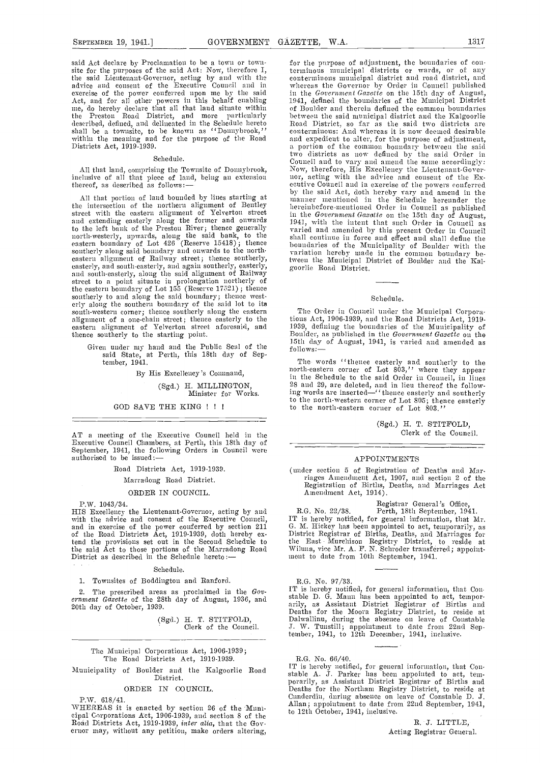exercise of the power conferred upon me by the said in the *Government Gazette* on the 15th day of Angust, Act, and for all other powers in this behalf enabling 1941, defined the boundaries of the Municipal District me, do me, do hereby declare that all that land situate within<br>the Preston Road District, and more particularly described, defined, and delineated in the Schedule hereto Road<br>shall be a townsite, to be known as ''Donnybrook,'' conte<br>within the meaning and for the purpose of the Road and  $\epsilon$ <br>Districts Act, 1919-1939. a por

#### Schedule.

All that land, comprising the Townsite of Donnybrook, Now inclusive of all that piece of land, being an extension  $\log_2$ thereof, as described as follows:-

All that portion of land bounded by lines starting at the intersection of the northern alignment of Bentley street with the eastern alignment of Yelverton street street with the eastern alignment of Yelverton street<br>and extending easterly along the former and onwards<br>to the left bank of the Preston River; thence generally<br>varied and amended by this present Order in Conneil to the left bank of the Preston River; thence generally varied north-westerly, upwards, along the said bank, to the shall eastern boundary of Lot  $426$  (Reserve 15418); thence bo southerly along said boundary and onwards to the north-<br>eastern alignment of Railway street; thence southerly, easterly, and south-easterly, and again southerly, easterly, goor and south-easterly, along the said alignment of Railway street to a point situate in prolongation northerly of the eastern boundary of Lot 155 (Reserve 17521); thence southerly to and along the said boundary; thence west- erly along the southern boundary of the said lot to its south-western corner; thence southerly along the castern<br>alignment of a one-chain street; thence easterly to the eastern alignment of Yelverton street aforesaid, and thence southerly to the starting point.

Given under my hand and the Public Seal of the<br>said. State, at Perth, this 18th day of September, 1941.

By His Excellency 's Command,

(Sgd.) H. MILLINGTON, Minister for Works.

#### GOD SAVE THE KING ! ! !

AT a meeting of the Executive Council held in the Executive Council Chambers, at Perth, this 18th day of September, 1941, the following Orders in Council were authorised to be issued:

Road Districts Act, 1919-1939.

#### Marradong Road District.

#### ORDER IN COUNCIL.

P.W. 1043/34.<br>HIS Excellency the Lieutenant-Governor, acting by and HIS Excellency the Lieutenant-Governor, acting by and with the advice and consent of the Executive Council, and in exercise of the power conferred by section 211 G. M. Hickey has been appointed to act, temporarily, as of the Road Districts Act, 1919-1939, doth hereby ex- District Registrar of Births, Deaths, and Marriages for of the Road Districts Act, 1919-1939, dotli hereby extend the provisions set out in the Second Schedule to the I the said Act to those portions of the Marradong Road Wiluna, vice Mr. A. F. N. Schroder transfer<br>District as described in the Schedule hereto: — ment to date from 10th September, 1941.

#### Schedule.

1. Townsites of Boddington and Ranford.

2. The prescribed areas as proclaimed in the Gov-<br>ernment Gazette of the 28th day of August, 1936, and 20th day of October, 1939.

(Sgd.) H. T. STITFOLD,<br>Clerk of the Council.

The Municipal Corporations Act, 1906-1939; The Road Districts Act, 1919-1939.

#### ORDER IN COUNCIL.

P.W. 618/41.<br>WHEREAS it is enacted by section 26 of the Municipal Corporations Act, 1906-1939, and section 8 of the Road Districts Act, 1919-1939, inter alia, that the Governor may, without any petition, make orders altering,

said Act declare by Proclamation to be a town or town-<br>site for the purposes of the said Act: Now, therefore I,<br>the said Lieutenant-Governor, acting by and with the conterminons municipal districts or wards, or of any<br>advi for the purpose of adjustment, the boundaries of con-<br>terminous municipal districts or wards, or of any<br>conterminous municipal district and road district, and<br>whereas the Governor by Order in Conneil published 1941, defined the boundaries of the Municipal District Road District, so far as the said two districts are conterminous: And whereas it is now deemed desirable and expedient to alter, for the purpose of adjustment, a portion of the common boundary between the said two districts as now defined by the said Order in two districts as now defined by the said Order in<br>Council and to vary and amend the same accordingly:<br>Now, therefore, His Excellency the Lieutenant-Gover-<br>nor, acting with the advice and consent of the Ex-<br>ecutive Council 1941, with the intent that such Order in Council as varied and amended by this present Order in Council shall continue in force and effect and shall define the boundaries of the Municipality of Boulder with the<br>variation hereby made in the common boundary between the Municipal District of Boulder and the Kal-<br>goorlie Road District.

#### Schedule.

The Order in Conneil under the Municipal Corporations Act, 1906-1939, and the Road Districts Act, 1919-1939, defining the boundaries of the Municipality of<br>Boulder, as published in the *Government Gazette* on the<br>15th day of August, 1941, is varied and amended as  $follows:$   $-$ 

Tile words ''thence easterly and southerly to the north-eastern corner of Lot 803,'' whei-e they appear in the Schedule to the said Order in Conneil, in lines 28 and 29, are deleted, and in lieu thereof the follow-<br>ing words are inserted—''thence easterly and southerly to the north-western corner of Lot 805; thence easterly<br>to the north-eastern corner of Lot 803.''

> (Sgd.) H. T. STITFOLIJ, Clerk of the Council.

#### APPOINTMENTS

(under section 5 of Registration of Deaths and Marriages Amuendulent Act, 1907, and section 2 of the Registration of Births, Dcaths, and Marriages Act Amendment Act, 1914).

Registrar General's Office, Perth, 18th September, 1941. G. M. Hickey has been appointed to act, temporarily, as the East Murchison Registry District, to reside at Wiluna, vice Mr. A. F. N. Schroder transferred; appoint- ment to date from 10th September, 1941.

R.G. No. 97/33. IT is hereby notified, for general information, that Constable D. G. Mann has been appointed to act, tempor arily, as Assistant District Registrar of Births and Deaths for the Moora Registry District, to reside at Dalwallinu, during the absence on leave of Constable<br>J. W. Tunstill; appointment to date from 22nd Sep-J. W. Tunstill; appointment to date from 22nd September, 1941, to 12th December, 1941, inclusive.

#### R.G. No. 66/40.

Municipality of Boulder and the Kalgoorlie Road TT is needy notined, for general information, that Con-<br>District.<br>ORDER IN COUNCIL. Deaths for the Northam Registrar of Births and<br>Deaths for the Northam Registry District, t IT is hereby notified, for general information, that Constable A. J. Parker has been appointed to act, temported Constable D. J. Allan; appointment to date from 22nd September, 1941, to 12th October, 1941, inclusive.

> R. J. LITTLE, Acting Registrar General.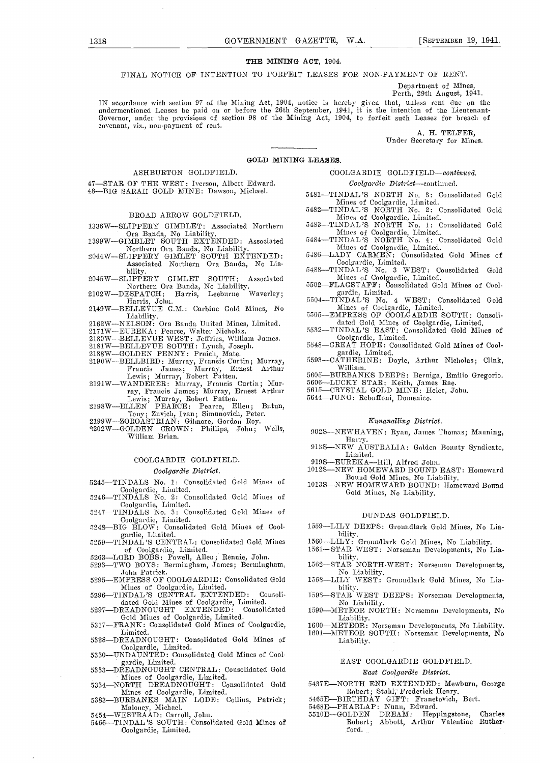#### THE MINING ACT, 1904.

FINAL NOTICE OF INTENTION TO FORFEIT LEASES FOR NON-PAYMENT OF RENT.

Department of Mines, Perth, 29th August, 1941.

IN accordance with section 97 of the Mining Act, 1904, notice is hereby given that, unless rent due on the undermentioned Leases be paid on or before the 26th September, 1941, it is the intention of the Lieutenant-<br>Governor, under the provisions of section 98 of the Mining Act, 1904, to forfeit such Leases for breach of covenan

Under Secretary for Mines.

#### GOLD MINING LEASES.

#### ASHBURTON GOLDFIELD.

- 47-STAR OF THE WEST: Iverson, Albert Edward.
- 

#### BROAD ARROW GOLDFIELD.

- 1336W-SLIPPERY GIMBLET: Associated Northern<br>Ora Banda, No Liability.<br>1399W-GIMBLET SOUTH EXTENDED: Associated
- Northern Ora Banda, No Liability.<br>2044W-SLIPPERY GIMLET SOUTH EXTENDED:
- Associated Northern Ora Banda, No Lia-
- bility. 204.5WSLIPPERY GIMLET SOUTH: Associated
- Northern Ora Banda, No Liability. <sup>5502–</sup><br>2102W—DESPATCH: Harris, Leeburne Waverley; Harris, John. 2149W—BELLE VUE G.M.: Carbine Gold Mines, No
- Liability.<br>2162W—NELSON: Ora Banda United Mines, Limited.<br>2171W—EUREKA: Pearce, Walter Nicholas.
- 
- 2171W-EUREKA: Pearce, Walter Nicholas.
- 2180W-BELLEVUE WEST: Jeffries, William James.
- 
- 2181W—BELLEVUE SOUTH: Lynch, Joseph.<br>2188W—GOLDEN PENNY: Pruich, Mate.<br>2190W—BELLBIRD: Murray, Francis Curtin; Murray,
- Francis James; Murray, Ernest Arthur Lewis; Murray, Robert Patten.<br>2191W—WANDERER: Murray, Francis Curtin; Mur-
- 
- ray, Frances Murray, Robert Patten.<br>2198W—ELLEN PEARCE: Pearce, Ellen; Butun, Tony; Zuvich, Ivan; Simunovich, Peter.<br>2199W—ZOROASTRIAN: Gilmore, Gordon Roy.<br>5202W—GOLDEN CROWN: Phillips, John; Wells,
- 
- William Brian.

#### COOLGARDIE GOLDFIELD.

#### Coolgardie District.

- 5245-TINDALS No. 1: Consolidated Gold Mines of 1
- Coolgardie, Limited.<br>5246—TINDALS No. 2: Consolidated Gold Mines of
- Coolgardie, Limited.<br>5247—TINDALS No. 3: Consolidated Gold Mines of Coolgardie, Limited.<br>5248-BIG BLOW: Consolidated Gold Mines of Cool-
- gardie, Lindical<br>5259—TINDAL'S CENTRAL: Consolidated Gold Mines
- of Coolgardie, Limited.<br>5263—LORD BOBS: Powell, Allen; Rennie, John.<br>5293—TWO BOYS: Bermingham. James: Berming
- 
- 5293—TWO BOYS: Bermingham, James; Bermingham,<br>John Patrick.<br>5295—EMPRESS OF COOLGARDIE: Consolidated Gold
- -EMPRESS OF COOLGARDIE: Consolidated Gold Mines of Coolgardie, Limited.<br>5296—TINDAL'S CENTRAL EXTENDED: Consoli-
- dated Gold Mines of Coolgardie, Limited.<br>5297—DREADNOUGHT EXTENDED: Consolidated 1599
- Gold Mines of Coolgardie, Limited.<br>5317—FRANK: Consolidated Gold Mines of Coolgardie,
- Limited.
- 5328-DREADNOUGHT: Consolidated Gold Mines of Coolgardie, Limited.<br>5330—UNDAUNTED: Consolidated Gold Mines of Cool-
- gardie, Limited.<br>5333—DREADNOUGHT CENTRAL: Consolidated Gold
- Mines of Coolgardie, Limited.<br>5334—NORTH DREADNOUGHT: Consolidated Gold 5437E—NORTH END EXTENDED: Mewburn, George
- Mines of Coolgardie, Limited.<br>5383-BURBANKS MAIN LODE: Collins, Patrick;
- 
- Malouey, Michael.<br>5454—WESTRAAD: Carroll, John.
- 5466-TINDAL'S SOUTH: Consolidated Gold Mines of -Coolgardie, Limited.

#### COOLGARDIE GOLDFIELD-continued.

#### Coolgardie District-continued.

- 5481-TINDAL'S NORTH No. 3: Consolidated Gold<br>
Mines of Coolgardie, Limited. Mines of Coolgardie, Limited.<br>5482—TINDAL'S NORTH No. 2: Consolidated Gold
- Mines of Coolgardie, Limited.<br>5483—TINDAL'S NORTH No. 1: Consolidated Gold
- Mines of Coolgardie, Limited.<br>5484—TINDAL'S NORTH No. 4: Consolidated Gold
- Mines of Coolgardie, Limited. 5486--LADY CARMEN: Consolidated Gold Mines of
- Coolgardie, Limited.<br>5488—TINDAL 'S No. 3 WEST: Consolidated Gold
- Mines of Coolgardie, Limited. 5502FLAGSTAFF: Consolidated Gold Mines of Cool-
- gardie, Limited.<br>5504—TINDAL'S No. 4 WEST: Consolidated Gol**d**
- Mines of Coolgardie, Limited.<br>5505-EMPRESS OF COOLGARDIE SOUTH: Consoli-
- dated Gold Mines of Coolgardie, Limited.<br>5532—TINDAL'S EAST: Consolidated Gold Mines of
- Coolgardie, Limited. 5548-GREAT HOPE: Consolidated Gold Mines of Cool-
- gardie, Limited.<br>5593—CATHERINE: Doyle, Arthur Nicholas; Clink,<br>William.<br>5605—BURBANKS DEEPS: Berniga, Emilio Gregorio.<br>5606—LUCKY STAR: Keith, James Rae.
- 
- 5606-BURDANING DELLA C. Detinga, Dinato<br>5606-LUCKY STAR: Keith, James Rae.<br>5615-CRYSTAL GOLD MINE: Heier, John.
- 
- 5644-JUNO: Rebuffoni, Domenico.

#### Kunanalling District.

- 902S-NEWHAVEN: Ryan, James Thomas; Manning, Harry.<br>913S-NEW AUSTRALIA: Golden Bounty Syndicate, Limited.
- 
- 
- 919S—EUREKA—Hill, Alfred John.<br>1012S—NEW HOMEWARD BOUND EAST: Homeward Bound Gold Mines, No Liability.<br>1013S—NEW HOMEWARD BOUND: Homeward Bound
- Gold Mines, No Liability.

#### DUNDAS GOLDFIELD.

- 1559-LILY DEEPS: Groundlark Gold Mines, No Liability.<br>-LILY: Groundlark Gold Mines, No Liability.
- 
- 
- 1560—LILY: Groundlark Gold Mines, No Liability.<br>1561—STAR WEST: Norseman Developments, No Lia-<br>bility.<br>1562—STAR NORTH-WEST: Norseman Developments,
- 1568-LILY WEST: Groundlark Gold Mines, No Liability. bility.
- 
- 1598—STAR WEST DEEPS: Norseman Developments,<br>No Liability.<br>1599—METEOR NORTH: Norseman Developments, No<br>Liability.<br>1600—METEOR: Norseman Developments, No Liability.
- 1601—METEOR SOUTH: Norseman Developments, No Liability.

#### EAST COOLGARDIE GOLDFIELD.

#### East Coolgardie District.

- 5437E-NORTH END EXTENDED: Mewburn, George<br>Robert; Stahl, Frederick Henry.<br>5465E-BIRTHDAY GIFT: Franetovich, Bert.
- 
- 5468E-PHARLAP: Nunn, Edward.
- 5510E-GOLDEN DREAM: Heppingstone, Charles Robert; Abbott, Arthur Valentine Rutherford.

48-BIG SARAH GOLD MINE: Dawson, Michael.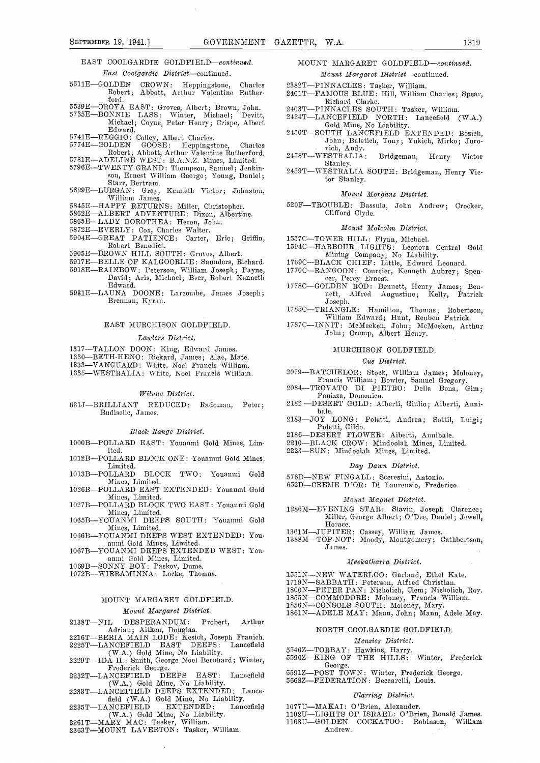#### EAST COOLGARDIE GOLDFIELD-continued. East Coolgardie District-continued.

- 5511E-GOLDEN CROWN: Heppingstone, Charles 23 Robert; Abbott, Arthur Valentine Ruther-
- 
- ford.<br>5539E—OROYA EAST: Groves, Albert; Brown, John.<br>5735E—BONNIE LASS: Winter, Michael; Devitt,
- Michael; Coyne, Peter Henry; Crispe, Albert<br>Edward.
- 
- 5741EREGGIO: Colley, Albert Charles. 5774EGOLDEN GOOSE: I-Ieppingstoue, Charles Robert; Abbott, Arthur Valentine Rutherford.<br>5781E—ADELINE WEST: B.A.N.Z. Mines, Limited.
- 
- 5796E-TWENTY GRAND: Thompson, Samuel; Jenkin-<br>son, Ernest William George; Young, Daniel;<br>Starr, Bertram.<br>5829E-LURGAN: Gray, Kenneth Victor; Johnston,
- William James.<br>5845E-HAPPY RETURNS: Miller, Christopher.
- 
- 5862E-ALBERT ADVENTURE: Dixon, Albertine.
- 5865E-LADY DOROTHEA: Heron, John.
- 5872E—EVERLY: Cox, Charles Walter.
- 5904E-GREAT PATIENCE: Carter, Eric; Griffin, Robert Benedict.
- 5905E-BROWN HILL SOUTH: Groves, Albert.
- 5917E-BELLE OF KALGOORLIE: Saunders, Richard.
- 5918ERAINBOW: Peterson, William Joseph; Payne, David; Aris, Michael; Beer, Robert Kenneth Edward.
- 5931ELAUNA DOONE: Larcombe, James Joseph; Brennan, Kyran.

#### EAST MURCIIISON GOLDFIELD.

#### Lawlers District.

- 
- 1317—TALLON DOON: King, Edward James.<br>1330—BETH-HENO: Rickard, James; Alac, Mate.
- 1333—VANGUARD: White, Noel Francis William.
- 1335-WESTRALIA: White, Noel Francis William.

#### Wilana District.

631J-BRILLIANT REDUCED: Radoman, Peter; Budiselic, James.

#### Black Range District.

- 1000B-POLLARD EAST: Youanmi Gold Mines, Limited.
- 1012B-POLLARD BLOCK ONE: Youanmi Gold Mines, Limited.<br>1013B—POLLARD
- BLOCK TWO: Youanmi Gold Mines, Limited.
- 1026B-POLLARD EAST EXTENDED: Youanmi Gold Mines, Limited.
- 1027B-POLLARD BLOCK TWO EAST: Youanmi Gold
- Mines, Limited. 1065BYOUANMI DEEPS SOUTH: Youanmi Gold Mines, Limited.
- 1066B-YOUANMI DEEPS WEST EXTENDED: Youanini Gold Mines, Limited.
- 1067B-YOUANMI DEEPS EXTENDED WEST: Youanmi Gold Mines, Limited.
- 1069B—SONNY BOY: Paskov, Dume.
- 1072B-WIRRAMINNA: Locke, Thomas.

### MOUNT MARGARET GOLDFIELD.

#### Mount Margaret District.

- 2138T-NIL DESPERANDUM: Probert, Arthur
- Adrian; Aitkeu, Douglas.<br>2216T—BERIA MAIN LODE: Kesich, Joseph Franich.<br>2225T—LANCEFIELD EAST DEEPS: Lancefield
- 
- (W.A.) Gold Mine, No Liability.<br>
2229T-IDA H.: Smith, George Noel Bernhard; Winter,<br>
Frederick George.<br>
2232T-LANCEFIELD DEEPS EAST: Lancefield
- 
- (W.A.) Gold Mine, No Liability.<br>2233T-LANCEFIELD DEEPS EXTENDED: Lance
- field (W.A.) Gold Mine, No Liability. 2235T-LANCEFIELD EXTENDED: Lancefield
- (W.A.) Gold Mine, No Liability.<br>2261 T—MARY MAC: Tasker, William.
- 2363T-MOUNT LAVERTON: Tasker, William.

#### MOUNT MARGARET GOLDFIELD-continued. Mount Margaret District-continued.

- 2382T-PINNACLES: Tasker, William.
- 2401T-FAMOUS BLUE: Hill, William Charles; Spear,
- Richard Clarke.
- 2403T-PINNACLES SOUTH: Tasker, William.
- 2424TLANCEFIELD NORTH: Lancefield (W.A.) Gold Mine, No Liability.
- 2450T-SOUTH LANCEFIELD EXTENDED: Bozich, John; Baletieb, Tony; Yukich, Mirko; Juro-
- rich, Andy.<br>2458T—WESTRALIA: Bridgeman, Henry Victor Stanley.
- 2459T-WESTRALIA SOUTH: Bridgeman, Henry Victor Stanley.

#### Mount Morgans District.

520F-TROUBLE: Bassula, John Andrew; Crocker, Clifford Clyde.

#### Movnt Malcolm District.

- 
- 1557C-TOWER HILL: Flynn, Michael.<br>1594C-HARBOUR LIGHTS: Leonora Central Gold Mining Company, No Liability.<br>1769C-BLACK CHIEF: Little, Edward Leonard.
- 
- 1770C—RANGOON: Courcier, Kenneth Aubrey; Spen-<br>eer, Percy Ernest.<br>1778C—GOLDEN ROD: Bennett, Henry James; Ben-<br>nett, Alfred Augustine; Kelly, Patrick
- 1778C-GOLDEN ROD: Bennett, Henry James; Bennett, Alfred Augustine; Kelly, Patrick Joseph.
- Joseph.<br>1785C-TRIANGLE: Hamilton, Thomas; Robertson, William Edward; Hunt, Reuben Patrick.
- 1787C---INNIT: McMeeken, John; McMeeken, Arthur<br>John; Crump, Albert Henry.

#### MURCHISON GOLDFIELD.

#### Cue District.

- 
- 2079—BATCHELOR: Stock, William James; Moloney,<br>Francis William; Bowler, Samuel Gregory.<br>2084—TROVATO DI PIETRO: Della Bona, Gim; Panizza, Domenico.
- 2182 DESERT GOLD: Aiberti, Giuhio; Aiherti, Analbale.
- 2183-JOY LONG: Poletti, Andrea; Sottil, Luigi; Poletti, Gildo.
- 2186-DESERT FLOWER: Aiberti, Annibale.
- 2210-BLACK CROW: Mindoolah Mines, Limited.
- 2223-SUN: Mindoolah Mines, Limited.

#### Dag Dawn District.

- 576D-NEW FINGALL: Sceresini, Antonio.
- 652D-CREME D'OR: Di Laurenzio, Frederico.

#### Monut Magnet District.

- 128GMEVENING STAR: Slavin, Joseph Clarence; Miller, George Albert; 0 'Dee, Daniel; Jewell, Horace.
- 1361M-JUPITER: Cassey, William James.
- 1388M-TOP-NOT: Moody, Montgomery; Cuthbertson, James.

#### Meekatharra District,

- 
- 
- 1551N—NEW WATERLOO: Garland, Ethel Kate.<br>1719N—SABBATH: Peterson, Alfred Christian.<br>1800N—PETER PAN: Nicholich, Clem; Nicholich, Roy.<br>1855N—COMMODORE: Moloney, Francis William.
- 
- 
- 1800N-COMMODORE: Moloney, Francis William.<br>1856N-CONSOLS SOUTH: Moloney, Mary. 1861N-ADELE MAY: Mann, John; Mann, Adele May.

#### NORTH COOLGARDIE GOLDPIELD.

#### Menzies District.

- 5546Z-TORBAY: Hawkins, Harry.<br>5590Z-KING OF THE HILLS: Winter, Frederick
- George.<br>5591 12—POST TOWN: Winter, Frederick George.<br>5668 2—FEDERATION: Beccarelli, Louis.
- 

1077U-MAKAI: O'Brien, Alexander.

Andrew.

#### Eliarring District.

110217LIGHTS OF ISRAEL: O'Brien, Ronald James.

1108U-GOLDEN COCKATOO: Robinson, William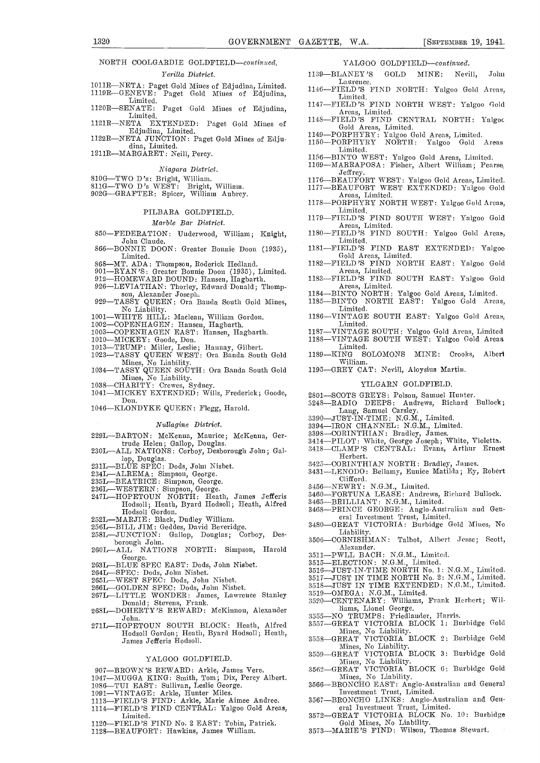### NORTH COOLGARDIE GOLDFIELD-continued.

#### Yerilla District.

- 1011R—NETA: Paget Gold Mines of Edjudina, Limited.<br>
1146—FIELD'S FIND NORTH: Yalgoo Gold Areas,<br>
Limited.<br>
1120R—SENATE: Paget Gold Mines of Edjudina.<br>
1147—FIELD'S FIND NORTH WEST: Yalgoo Gold<br>
1147—FIELD'S FIND NORTH WES
- 
- 1120R-SENATE: Paget Gold Mines of Edjudina,<br>Limited.<br>1121R-NETA EXTENDED: Paget Gold Mines of
- 1121R—NETA EXTENDED: Paget Gold Mines of 1148-<br>Edjudina, Limited. 1122R—NETA JUNCTION: Paget Gold Mines of Edju-<br>dina, Limited. 1150-
- 1211R-MARGARET: Neill, Percy.

#### Niagara District.

- 
- 
- 810G—TWO D's: Bright, William.<br>811G—TWO D's WEST: Bright, William.<br>902G—GRAFTER: Spicer, William Aubrey.

#### PILBARA GOLDFIELD.

#### Marble Bar District.

- 850-FEDERATION: Underwood, William; Knight, John Claude.
- 866-BONNIE DOON: Greater Bonnie Doon (1935), Limited.
- 
- 
- 868—MT. ADA: Thompson, Roderick Hedland.<br>901—RYAN'S: Greater Bonnie Doon (1935), Limited.<br>912—HOMEWARD BOUND: Hansen, Hagbarth.
- 
- 926—LEVIATHAN: Thorley, Edward Donald; Thomp-<br>son, Alexander Joseph.<br>929—TASSY QUEEN: Ora Banda South Gold Mines, No Liability.
- 1001—WHITE HILL: Maclean, William Gordon.<br>1002—COPENHAGEN: Hansen, Hagbarth.<br>1003—COPENHAGEN: EAST: Hansen, Hagbarth.<br>1010—WICKEN: Goode, Don.
- 
- 
- 
- 
- 1003—COTERNHAGER: Goode, Don.<br>
1010—MICKEY: Goode, Don.<br>
1013—TRUMP: Miller, Leslie; Hannay, Gilbert.<br>
1023—TASSY QUEEN WEST: Ora Banda South Gold<br>
1189
- Mines, No Liability.<br>
1034—TASSY QUEEN SOUTH: Ora Banda South Gold Mines, No Liability.<br>
1038—CHARITY: Crewes, Sydney.<br>
1041—MICKEY EXTENDED: Wills, Frederick; Goode,
- 
- Don.
- 1046-KLONDYKE QUEEN: Flegg, Harold.

#### Nullagine District.

- 229L-BARTON: McKenna, Maurice; McKenna, Ger-
- trude Helen; Gallop, Douglas.<br>230L—ALL NATIONS: Corboy, Desborough John; Gal lop, Douglas.<br>231L—BLUE SPEC: Dods, John Nisbet.
- 
- 
- 
- 
- 234L—ALREMA: Simpson, George.<br>235L—BEATRICE: Simpson, George. 235L—BEATRICE: Simpson, George. 236L<br>236L—WESTERN: Simpson, George. 2467L—HOPETOUN NORTH: Heath, James Jefferis 246 Hodsoll; Heath, Byard Hodsoll; Heath, Alfred Hodsoll Gordon.
- 
- 
- 252L—MARJIE: Black, Dudley William.<br>256L—BILL JIM: Geddes, David Beveridge.<br>258L—JUNCTION: Gallop, Douglas; Corboy, Des-
- borough John. Canop, Douglas, Cornor, Dec.<br>260L-ALL NATIONS NORTH: Simpson, Harold George.
- 263L-BLUE SPEC EAST: Dods, John Nisbet.
- 
- 264L-SPEC: Dods, John Nisbet.<br>265L-WEST SPEC: Dods, John Nisbet.
- 
- 265LWEST SPEC: Dods, John Nisbet. 266LGOLDEN SPEC: Dods, John Nisbet. 2671LITTLE WONDER: James, Lawrence Stanley Donald; Stevens, Frank.
- 268L-DOHERTY'S REWARD: McKinnon, Alexander John.
- 271L-HOPETOUN SOUTH BLOCK: Heath, Alfred 3557 Hodsoll Gordon; Heath, Byard Hodsoll; Heath, James Jefferis Hodsoll.

#### YALGOO GOLDFIELD.

- 907-BROWN'S REWARD: Arkle, James Vere.
- 1047—MUGGA KING: Smith, Tom; Dix, Percy Albert.<br>1086—TUI EAST: Sullivan, Leslie George.<br>1091—VINTAGE: Arkle, Hunter Miles.<br>1113—FIELD'S FIND: Arkle, Marie Aimee Andree.
- 
- 
- 
- 1114FIELD'S FIND CENTRAL: Yalgoo Gold Areas, Limited.
- 1120-FIELD'S FIND No. 2 EAST: Tobin, Patrick. 1128-BEAUFORT: Hawkins, James William.

#### YALGOO GOLDFIELD-continued.

- 1139-BLANEY'S GOLD MINE: Nevill, John Laurence.
- 1146FIELD'S FIND NORTH: Yalgoo Gold Areas, Limited.
- 1147FIELD'S FIND CENTRAL NORTH: Yalgoo Areas, Limited. 114SFIELD 'S FIND CENTRAL NORTH: Yalgoo
- 1149PORPHYRY: Yalgoo Gold Areas, Limited 1150PORPHYRY NORTII: Yalgoo Gold Areas
- 
- Limited.
- 1156-BINTO WEST: Yalgoo Gold Areas, Limited.<br>1169-MARRAPOSA: Fisher, Albert William; Pearse,
- Jeffrey.
- 1176-BEAUFORT WEST: Yalgoo Gold Areas, Limited.<br>1177-BEAUFORT WEST EXTENDED: Yalgoo Gold<br>Areas, Limited.<br>1178--PORPHYRY NORTH WEST: Yalgoo Gold Areas.
- 1178PORPHYRY NORTH WEST: Yalgoo Gold Areas, Limited.
- 1179—FIELD'S FIND SOUTH WEST: Yalgoo Gold Areas, Limited.<br>1180—FIELD'S FIND SOUTH: Yalgoo Gold Areas,
- Limited
- 1181-FIELD'S FIND EAST EXTENDED: Yalgoo Gold Areas, Limited.<br>1182—FIELD'S FIND NORTH EAST: sited. NORTH EAST: Yalgoo Gold
- Areas, Limited.<br>1183—FIELD'S FIND SOUTH EAST:
- Areas, Limited.<br>1184—BINTO NORTH: Yalgoo Gold Are<br>1185—BINTO NORTH EAST: Yalgoo SOUTH EAST: Yalgoo Gold
- Yalgoo Gold Areas, Limited.
- Limited. EAST: Yalgoo Gold Areas,
- 1186—VINTAGE SOUTH EAST: Yalgoo Gold Areas,<br>Limited.<br>1187—VINTAGE SOUTH: Yalgoo Gold Areas, Limited.
- 1187—VINTAGE SOUTH: Yalgoo Gold Areas, Limited 1188—VINTAGE SOUTH WEST: Yalgoo Gold Areas Limited.
- -KING SOLOMONS MINE: Crooks, Albert William.
- 1195-GREY CAT: Nevill, Aloysius Martin.

#### YILGARN GOLDFIELD.

- 
- 2801—SCOTS GREYS: Polson, Samuel Hunter.<br>3248—RADIO DEEPS: Andrews, Richard Bullock;
- Lang, Samuel Carsley.<br>3390—JUST-IN-TIME: N.G.M., Limited.
- 3394—IRON CHANNEL: N.G.M., Limited.
- 
- 3398-CORINTHIAN: Bradley, James.<br>3414-PILOT: White, George Joseph; White, Violetta.<br>3418-CLAMP'S CENTRAL: Evans, Arthur Ernest
- Herbert.
- 3425-CORINTHIAN NORTH: Bradley, James.<br>3431-LENODO: Bellamy, Eunice Matilda; Ey, Robert
- Clifford.
- 3456-NEWRY: N.G.M., Limited.
- 3460-FORTUNA LEASE: Andrews, Richard Bullock.
- 3465-BRILLIANT: N.G.M., Limited.
- 3468–PRINCE GEORGE: Anglo-Australian and Gen-<br>3468–PRINCE GEORGE: Anglo-Australian and Gen-<br>eral Investment Trust, Limited.
- 3480-GREAT VICTORIA: Burbidge Gold Mines, No Liability.<br>3506—CORNISHMAN: Talbot, Albert Jesse; Scott,
- Alexander.
- 3511—PWLL BACH: N.G.M., Limited.<br>3515—ELECTION: N.G.M., Limited.
- 
- 3516—JUST-IN-TIME NORTH No. 1: N.G.M., Limited. 3517-JUST IN TIME NORTH No. 2: N.G.M., Limited.

Mines, No Liability.<br>
3559-GREAT VICTORIA BLOCK 3: Burbidge Gold<br>
3562-GREAT VICTORIA BLOCK 6: Burbidge Gold<br>
3562-GREAT VICTORIA BLOCK 6: Burbidge Gold

3518-JUST IN TIME EXTENDED: N.G.M., Limited. 3519-OMEGA: N.G.M., Limited.<br>3520-CENTENARY: Williams, Frank Herbert; Wi

liams, Lionel George.<br>3555—NO TRUMPS: Friedlander, Harris.<br>3557—GREAT VICTORIA BLOCK 1: Burbidge Gold

Mines, No Liability.<br>3558—GREAT VICTORIA BLOCK 2: Burbidge Gold

Mines, No Liability.<br>3562—GREAT VICTORIA BLOCK 6: Burbidge Gold<br>Mines, No Liability.<br>3566—BRONCHO EAST: Anglo-Australian and General

Investment Trust, Limited.<br>3567—BRONCHO LINKS: Anglo-Australian and Gen-<br>eral Investment Trust, Limited. 3572-GREAT VICTORIA BLOCK No. 10: Burbidge Gold Mines, No Liability.<br>3573—MARIE'S FIND: Wilson, Thomas Stewart.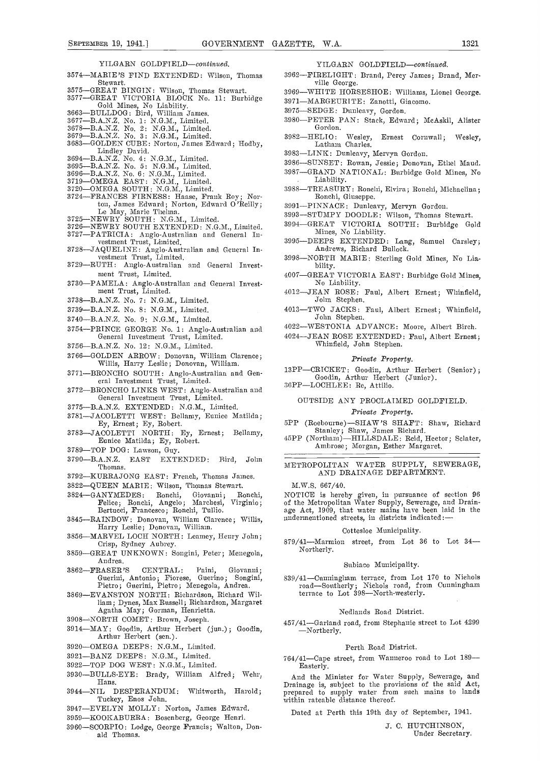#### YILGARN GOLDFIELD-continued.

- 3574-MARIE'S FIND EXTENDED: Wilson, Thomas
- 
- Stewart.<br>
3575-GREAT BINGIN: Wilson, Thomas Stewart.<br>
3577-GREAT VICTORIA BLOCK No. 11: Burbidge 3575—GREAT BINGIN: Wilson, Thomas Stewart. 396969<br>3577—GREAT VICTORIA BLOCK No. 11: Burbidge 3971<br>Gold Mines, No Liability. 3663—BULLDOG: Bird, William James. 3977
- 
- 3677—B.A.N.Z. No. 1: N.G.M., Limited.
- 3678-B.A.N.Z. No. 2: N.G.M., Limited.
- 3679-B.A.N.Z. No. 3: N.G.M., Limited.
- 3683—GOLDEN CUBE: Norton, James Edward; Hodby,<br>Lindley David.<br>3694—B.A.N.Z. No. 4: N.G.M., Limited.
- 
- 3695-B.A.N.Z. No. 5: N.G.M., Limited. 3696—B.A.N.Z. No. 6: N.G.M., Limited.
- 3719—OMEGA EAST: N.G.M., Linnited.
- 
- 3720—OMEGA SOUTH: N.G.M., Limited.<br>3724—FRANCES FIRNESS: Haase, Frank Roy; Nor ton, James Edward; Norton, Edward O'Reilly;<br>Le May, Marie Thelma.<br>3725—NEWRY SOUTH: N.G.M., Limited.
- 
- $3726\mathrm{-}\mathrm{NEWRY}$  SOUTH EXTENDED: N.G.M., Limited.
- 3727-PATRICIA: Anglo-Australian and General Investment Trust, Limited. 3728-JAQUELINE: Anglo-Australian and General Investment Trust, Limited.
- 3729-RUTH: Anglo-Australian and General Invest-
- ment Trust, Limited. 3730-PAMELA: Anglo-Australian and General Invest- ment Trust, Limited.
- 
- 3738-B.A.N.Z. No. 7: N.G.M., Limited.
- 3739-B.A.N.Z. No. 8: N.G.M., Limited.
- 3740-B.A.N.Z. No. 9: N.G.M., Limited.
- 3754-PRINCE GEORGE No. 1: Anglo-Australian and General Investment Trust, Limited.
- 3756-B.A.N.Z. No. 12: N.G.M., Limited.
- 3766-GOLDEN ARROW: Donovan, William Clarence; Willis, Harry Leslie; Donovan, William.
- 3771-BRONCHO SOUTH: Anglo-Australian and General Investment Trust, Limited.
- $3772-\mathrm{BRONCHO}$  LINKS WEST: Anglo-Australian and General Investment Trust, Limited.
- 3775-B.A.N.Z. EXTENDED: N.G.M., Limited.
- 3781-JACOLETTI WEST: Bellamy, Eunice Matilda; Ey, Ernest; Ey, Robert.
- 3783-JACOLETTI NORTH: Ey, Ernest; Bellamy, Eunice Matilda; Ey, Robert.
- 3789-TOP DOG: Lawson, Guy.
- 3790-B.A.N.Z. EAST EXTENDED: Bird, John Thomas.
- 3792-KURRAJONG EAST: French, Thomas James.
- 
- 3822-QUEEN MARIE: Wilson, Thomas Stewart.<br>3824-GANYMEDES: Ronchi, Giovanni; Ro 3824—GANYMEDES: Ronchi, Giovanni; Ronchi, Felice; Ronchi, Angelo; Marchesi, Virginio; Felice; Ronchi, Angelo; Marchesi, Virginio;<br>Bertucci, Francesco; Ronchi, Tullio.
- 3845-RAINBOW: Donovan, William Clarence; Willis, Harry Leslie; Donovan, William.
- 3856-MARVEL LOCH NORTH: Leamey, Henry John; Crisp, Sydney Aubrey.
- 3859-GREAT UNKNOWN: Songini, Peter; Menegola, Andrea.
- 3862FRASER'S CENTRAL: Paini, Giovanni; Guerini, Antonio; Fiorese, Guerino; Songini, Pietro; Guerini, Pietro; Menegola, Andrea.
- 3869-EVANSTON NORTH: Richardson, Richard William; Dynes, Max Russell; Richardson, Margaret Agatha May; Gorman, Henrietta.
- 3908-NORTH COMET: Brown, Joseph.
- 3914MAY: Goodin, Arthur Herbert (jun.); Goodin, Arthur Herbert (sen.).
- 3920-OMEGA DEEPS: N.G.M., Limited.
- 3921-BANZ DEEPS: N.G.M., Limited.
- 3922-TOP DOG WEST: N.G.M., Limited.
- 3930-BULLS-EYE: Brady, William Alfred; Wehr, Hans.
- 3944-NIL DESPERANDUM: Whitworth, Harold; Tuckey, Enos John.
- 3947EVELYN MOLLY: Norton, James Edward.
- 3959-KOOKABURRA: Bosenberg, George Henri.
- 3960-SCORPIO: Lodge, George Francis; Walton, Donald Thomas.
- YILGARN GOLDFIELD-continued.
- 3962-FIRELIGHT: Brand, Percy James; Brand, Mer-<br>ville George.
- 3969-WHITE HORSESHOE: Williams, Lionel George.
- 3971-MARGEURITE: Zanotti, Giacomo.
- 3975-SEDGE: Dunleavy, Gordon.
- 3980-PETER PAN: Stack, Edward; McAskil, Alister Gordon.
- 3982-HELIO: Wesley, Ernest Cornwall; Wesley, Latham Charles.
- 3983-LINK: Dunleavy, Mervyn Gordon.
- 3986-SUNSET: Rowan, Jessie; Donovan, Ethel Maud.
- 3987-GRAND NATIONAL: Burbidge Gold Mines, No Liability.
- 3988-TREASURY: Ronchi, Elvira; Ronchi, Michaelina; Ronchi, Giuseppe.
- 3991-PINNACE: Dunleavy, Mervyn Gordon.
- 3993-STUMPY DOODLE: Wilson, Thomas Stewart.
- 3994GREAT VICTORIA SOIJTH: Burbidge Gold Mines, No Liability.
- 3995-DEEPS EXTENDED: Lang, Samuel Carsley; Andrews, Richard Bullock.
- 3998-NORTH MARIE: Sterling Gold Mines, No Lia- bility.
- 4007-GREAT VICTORIA EAST: Burbidge Gold Mines,<br>No Liability.
- 4012-JEAN ROSE: Faul, Albert Ernest; Whinfield, John Stephen.
- 4013-TWO JACKS: Faul, Albert Ernest; Whinfield, John Stephen.
- 4022WESTONIA ADVANCE: Moore, Albert Birch.

4024-JEAN ROSE EXTENDED: Faul, Albert Ernest; Whinfield, John Stephen.

#### Private Property.

13PP-CRICKET: Goodin, Arthur Herbert (Senior); Goodin, Arthur Herbert (Junior).<br>36PP—LOCHLEE: Re, Attilio.

#### OUTSIDE ANY PROCLAIMED GOLDPIELD.

#### Private Property.

5PP (Roebourne)—SHAW'S SHAFT: Shaw, Richard<br>Stanley; Shaw, James Richard.<br>45PP (Nortlam)—HILLSDALE: Reid, Hector; Selater, Ambrose; Morgan, Esther Margaret.

#### METROPOLITAN WATER SUPPLY, SEWERAGE, AND DRAINAGE DEPARTMENT.

M.W.S. 667/40.

NOTICE is hereby given, in pursuance of section 96 of the Metropolitan Water Supply, Sewerage, and Drainage Act, 1909, that water mains have been laid in the undermentioned streets, in districts indicated:-

#### Cottesloe Municipality.

879/41-Marmion street, from Lot 36 to Lot 34-Northerly.

#### Subiaco Municipality.

839/41-Cunningham terrace, from Lot 170 to Nichols road-Southerly; Nichols road, from Cunningham terrace to Lot 398-North-westerly.

#### Nedlands Road District.

457/41Garland road, from Stephanie sti-cet to Lot 4299 Northerly.

#### Perth Road District.

764/41-Cape street, from Wanneroo road to Lot 189-Easterly.

And the Minister for Water Supply, Sewerage, and Drainage is, subject to the provisions of the said Act, prepared to supply water from such mains to lands within ratcable distance thereof.

Dated at Perth this 19th day of September, 1941.

J. C. HUTCHINSON, Under Secretary.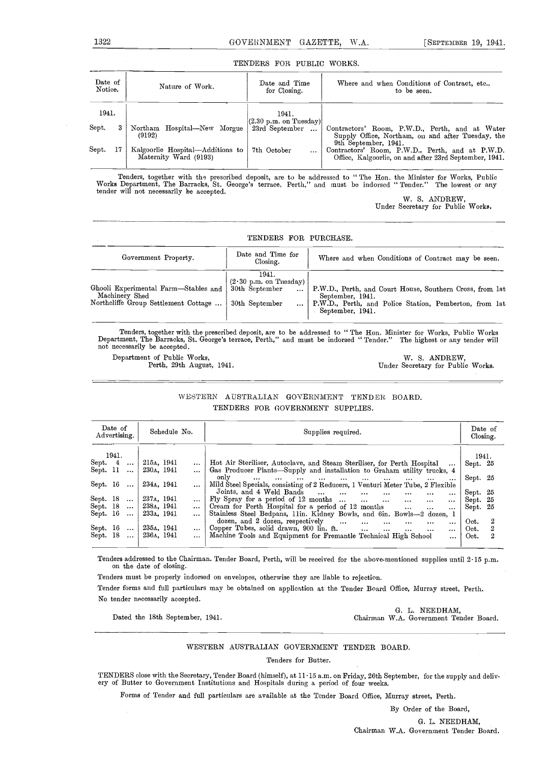#### TENDERS FOR PUBLIC WORKS.

| Date of        | Nature of Work.                       | Date and Time                                                  | Where and when Conditions of Contract, etc.,                                                                                |
|----------------|---------------------------------------|----------------------------------------------------------------|-----------------------------------------------------------------------------------------------------------------------------|
| Notice.        |                                       | for Closing.                                                   | to be seen.                                                                                                                 |
| 1941.          |                                       | 1941.                                                          |                                                                                                                             |
| ${\rm Sept.}$  | Northam Hospital—New Morgue<br>(9192) | $(2.30 \text{ p.m. on Tuesday})$<br>23rd September<br>$\cdots$ | Contractors' Room, P.W.D., Perth, and at Water<br>Supply Office, Northam, on and after Tuesday, the<br>9th September, 1941. |
| $_{\rm Sept.}$ | Kalgoorlie Hospital—Additions to      | 7th October                                                    | Contractors' Room, P.W.D., Perth, and at P.W.D.                                                                             |
| 17             | Maternity Ward (9193)                 | $\cdots$                                                       | Office, Kalgoorlie, on and after 23rd September, 1941.                                                                      |

Tenders, together with the prescribed deposit, are to be addressed to "The Hon. the Minister for Works, Public<br>Works Department, The Barracks, St. George's terrace, Perth," and must be indorsed "Tender." The lowest or any<br>

W. S. ANDREW, Under Secretary for Public Works.

| TENDERS FOR PURCHASE.                                                                          |                                                                               |                                                                                                                                                            |  |  |  |  |  |  |  |  |
|------------------------------------------------------------------------------------------------|-------------------------------------------------------------------------------|------------------------------------------------------------------------------------------------------------------------------------------------------------|--|--|--|--|--|--|--|--|
| Government Property.                                                                           | Date and Time for<br>Closing.                                                 | Where and when Conditions of Contract may be seen.                                                                                                         |  |  |  |  |  |  |  |  |
| Ghooli Experimental Farm-Stables and<br>Machinery Shed<br>Northeliffe Group Settlement Cottage | 1941.<br>$(2.30 \text{ p.m. on Tuesday})$<br>30th September<br>30th September | P.W.D., Perth, and Court House, Southern Cross, from 1st<br>September, 1941.<br>P.W.D., Perth, and Police Station, Pemberton, from 1st<br>September, 1941. |  |  |  |  |  |  |  |  |

Tenders, together with the prescribed deposit, are to be addressed to "The Hon. Minister for Works, Public Works Department, The Barracks, St. George's terrace, Perth," and must be indorsed "Tender." The highest or any ten

Department of Public Works, W. S. ANDREW, Perth, 29th August, 1941. Under Secretary for Public Works.

#### WESTERN AUSTRALIAN GOVERNMENT TENDER BOARD. TENDERS FOR GOVERNMENT SUPPLIES.

| Date of<br>Schedule No.<br>Advertising.         |          | Supplies required.                                                                                                          | Date of<br>Closing.      |  |
|-------------------------------------------------|----------|-----------------------------------------------------------------------------------------------------------------------------|--------------------------|--|
| 1941.                                           |          |                                                                                                                             | 1941.                    |  |
| Sept. 4<br>215a, 1941<br>$\cdots$               |          | Hot Air Steriliser, Autoclave, and Steam Steriliser, for Perth Hospital<br>$\cdots$                                         | Sept. 25                 |  |
| Sept. 11<br>230a, 1941<br>$\ddots$              |          | Gas Producer Plants—Supply and installation to Graham utility trucks, 4                                                     |                          |  |
| Sept. 16<br>234 <sub>A</sub> , 1941<br>$\cdots$ |          | only<br>$\cdots$<br>$\cdots$<br>$\cdots$<br>Mild Steel Specials, consisting of 2 Reducers, 1 Venturi Meter Tube, 2 Flexible | Sept. 25                 |  |
|                                                 |          | Joints, and 4 Weld Bands<br>$\cdots$<br>$\cdots$<br>$\cdots$<br>$\cdots$<br>$\cdots$<br>$\cdots$                            | Sept. 25                 |  |
| Sept. 18<br>237A. 1941<br>$\cdots$              | $\cdots$ | Fly Spray for a period of 12 months<br>$\cdots$<br>$\cdots$<br>$\cdots$                                                     | Sept. 25                 |  |
| Sept. 18<br>238a, 1941                          |          | Cream for Perth Hospital for a period of 12 months<br>$\cdots$<br>$\cdots$<br>$\cdots$                                      | Sept. 25                 |  |
| Sept. 16<br>233a. 1941<br>$\cdots$              |          | Stainless Steel Bedpans, 11in. Kidney Bowls, and 6in. Bowls-2 dozen, 1                                                      |                          |  |
|                                                 |          | dozen, and 2 dozen, respectively<br>$\cdots$<br>$\cdots$<br>$\cdots$<br>$\cdots$<br>$\cdots$                                | $\boldsymbol{2}$<br>Oct. |  |
| Sept. 16<br>235д, 1941<br>$\sim 1000$           |          | Copper Tubes, solid drawn, 900 lin. ft.<br>$\cdots$<br>$\ldots$<br>$\cdots$<br>$\cdots$                                     | $\overline{2}$<br>Oct.   |  |
| Sept. 18<br>236a, 1941<br>$\cdots$              |          | Machine Tools and Equipment for Fremantle Technical High School<br>$\cdots$                                                 | 2<br>Oct.                |  |

Tenders addressed to the Chairman, Tender Board, Perth, will be received for the above-mentioned supplies until 2 15 p.m. on the date of closing.

Tenders must be properly indorsed on envelopes, otherwise they are liable to rejection.

Tender forms and full particulars may be obtained on application at the Tender Board Office, Murray street, Perth. No tender necessarily accepted.

G. L. NEEDHAM, Dated the 18th September, 1941. Chairman W.A. Government Tender Board.

#### WESTERN AUSTRALIAN GOVERNMENT TENDER BOARD.

Tenders for Butter.

TENDERS close with the Secretary, Tender Board (himself), at 11 15 a.m. on Friday, 26th September, for the supply and deliv- ery of Butter to Government Institutions and Hospitals during a period of four weeks.

Forms of Tender and full particulars are available at the Tender Board Office, Murray street, Perth.

By Order of the Board,

G. L. NEEDHAM,

Chairman W.A. Government Tender Board.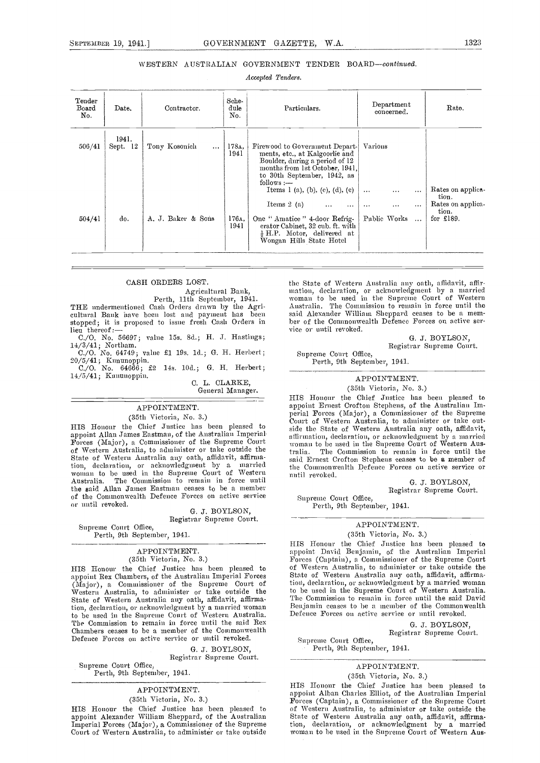#### WESTERN AUSTRALIAN GOVERNMENT TENDER BOARD-continued.

Accepted Tenders.

| Tender<br>Board<br>No. | Date.             | Contractor.               | Sche-<br>dule<br>No. | Particulars.                                                                                                                                                                                                      | Department<br>concerned.                                                                         | Rate.                                            |
|------------------------|-------------------|---------------------------|----------------------|-------------------------------------------------------------------------------------------------------------------------------------------------------------------------------------------------------------------|--------------------------------------------------------------------------------------------------|--------------------------------------------------|
| 506/41                 | 1941.<br>Sept. 12 | Tony Kosonich<br>$\cdots$ | 178A.<br>1941        | Firewood to Government Depart-<br>ments, etc., at Kalgoorlie and<br>Boulder, during a period of 12<br>months from 1st October, 1941,<br>to 30th September, 1942, as<br>$follows :=$                               | Varions                                                                                          | Rates on applica-                                |
| 504/41                 | do.               | A. J. Baker & Sons        | 176A.<br>1941        | Items 1 (a), (b), (c), (d), (e)<br>Items $2(a)$<br>$\ldots$<br>$\cdots$<br>One "Amatice" 4-door Refrig-<br>erator Cabinet, 32 cub. ft. with<br>$\frac{1}{2}$ H.P. Motor, delivered at<br>Wongan Hills State Hotel | $\cdots$<br>$\cdots$<br>$\cdots$<br>$\cdots$<br>$\cdots$<br>$\cdots$<br>Public Works<br>$\ddots$ | tion.<br>Rates on applica-<br>tion.<br>for £189. |

#### CASH ORDERS LOST.

Agricultural Bank,<br>Perth, 11th September, 1941.<br>THE undermentioned Cash Orders drawn by the Agri-<br>cultural Bank have been lost and payment has been stopped; it is proposed to issue fresh Cash Orders in  $\lim_{t \to \infty}$  thereof: $\frac{1}{t}$ 

C./O. No. 56697; value 15s. 8d.; H. J. Hastings;

14/3/41; Northam.<br>
C./O. No. 64749; value £1 19s. 1d.; G. H. Herbert; 20/5/41; Kununoppin. C./O. No. 64666; £2 14s. 100.; G. H. Herbert;

14/5/41; Kununoppin. C. L. CLARKE.

General Manager.

### APPOINTMENT.

(35th Victoria, No. 3.)

HIS Honour the Chief Justice has been pleased to appoint Allan James Eastman, of the Australian Imperial Forces (Major), a Commissioner of the Supreme Court of Western Australia, to administer or take outside the tralia. State of Western Australia any oath, affidavit, affirmation, declaration, or acknowledgment by a married the woman to be used in the Supreme Court of Western mutil Australia. The Commission to remain in force until the said Allan James Eastman ceases to be a member of the Commonwealth Defence Forces on active service Supreme Court Office, or until revoked.

#### G. J. BOYLSON, Registrar Supreme Court.

Supreme Court Office, Perth, 9th September, 1941.

### APPOINTMENT.

(35th Victoria, No. 3.)

HIS Honour the Chief Justice has been pleased to appoint Rex Chambers, of the Australian Imperial Forces (Major), a Commissioaer of the Supreme Court of Western Australia, to administer or take outside the State of Western Australia any oath, affidavit, affirmation, declaration, or acknowledgment by a married woman Ben to be used in the Supreme Court of Western Australia. Defer<br>The Commission to remain in force until the said Rex The Commission to remain in force until the said Rex Chambers ceases to be a member of the Commonwealth Defence Forces on active service or until revoked.

#### G. J. BOYLSON,

Registrar Supreme Court.

Supreme Court Office. Perth, 9th September, 1941.

APPOINTMENT.

#### (35th Victoria, No. 3.)

HIS Honour the Chief Justice has been pleased to appoint Alexander William Sheppard, of the Australian Imperial Forces (Major), a Commissioner of the Supreme Court of Western Australia, to administer or take outside

the State of Western Australia any oath, affidavit, affirmation, declaration, or acknowledgment by a married woman to be used in the Supreme Court of Western Australia. The Commission to remain in force until the said Alexander William Sheppard ceases to be a member of the Commonwealth Defence Forces on active service or until revoked.

> G. J. BOYLSON, Registrar Supreme Court.

Supreme Court Office, Perth, 9th September, 1941.

APPOINTMENT.

(35th Victoria, No. 3.) HIS Houour the Chief Justice has been pleased to appoint Ernest Crofton Stephens, of the Australian Imappoint Ernest Crofton Stephens, of the Australian Im-<br>perial Forces (Major), a Commissioner of the Supreme<br>Court of Western Australia, to administer or take outside the State of Western Australia any oath, affidavit, affirmation, declaration, or acknowledgment by a married woman to be used in tIme Supreme Court of Western Aus. The Commission to remain in force until the said Ernest Crofton Stephens ceases to be a member of the Commonwealth Defence Forces on active service or until revoked.

G. J. BOYLSON, Registrar Supreme Court.

Perth, 9th September, 1941.

#### APPOINTMENT. (35th Victoria, No. 3.)

HIS Honour the Chief Justice has been pleased to appoint David Benjamin, of the Australian Imperial Forces (Captain), a Commissioner of the Supreme Court of Western Australia, to administer or take outside the State of Western Australia any oath, affidavit, affirmation, declaration, or acknowledgment by a married woman to be used in the Supreme Court of Western Australia. The Commission to remain in force until the said David Benjamin ceases to be a member of the Commonwealth Defence Forces On active service or until revoked.

> G. J. BOYLSON, Registrar Supreme Court.

Supreme Court Office, Perth, 9th September, 1941,

#### APPOINTMENT.

(35th Victoria, No. 3.)

HIS Honour the Chief Justice has been pleased to appoint Alban Charles Elliot, of the Australian Imperial of Western Australia, to administer or take outside the State of Western Australia any oath, affidavit, affirmation, declaration, or acknowledgment by a married woman to he used in the Supreme Court of Western Aus-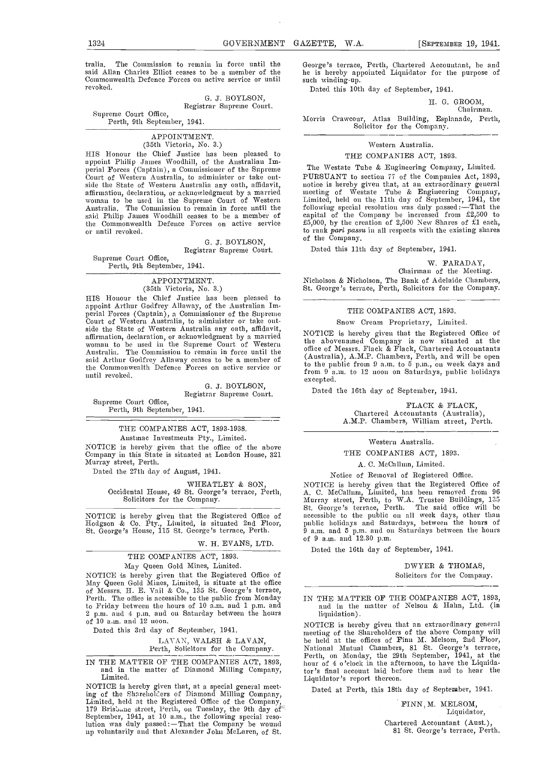tralia. The Commission to remain in force until the said Allan Charles Elliot ceases to be a member of the he is hereby ap Commonwealth Defence Forces on active service or until such winding-up. Commonwealth Defence Forces on active service or until revoked.

> G. J. BOYLSON, Registrar Supreme Court.

Supreme Court Office, Perth, 9th September, 1941.

#### APPOINTMENT. (35th Victoria, No. 3.)

HIS Honour the Chief Justice has been pleased to appoint Philip James Woodhill, of the Anstralian Imperial Forces (Captain), a Commissioner of the Supreme perial Forces (Captain), a Commissioner of the Supreme  $\begin{array}{cc} \hbox{ }^{\text{T1}}\ \hbox{}}\ \hbox{~\text{Current}}\ \hbox{~\text{}}\ \hbox{~\text{}}\ \hbox{~\text{}}\ \hbox{~\text{}}\ \hbox{~\text{}}\ \hbox{~\text{}}\ \hbox{~\text{}}\ \hbox{~\text{}}\ \hbox{~\text{}}\ \hbox{~\text{}}\ \hbox{~\text{}}\ \hbox{~\text{}}\ \hbox{~\text{}}\$ side the State of Western Australia any oath, affidavit, affirmation, declaration, or acknowledgment by a married ivoman to be used in the Supreme Court of Western Australia, The Commission to remain in force until the said Philip James Woodhill ceases to be a member of the Commonwealth Defence Forces on active service or until revoked.

> G. J. BOYLSON, Registrar Supreme Court.

Supreme Court Office,

Perth, 9th September, 1941.

#### APPOINTMENT. (35th Victoria, No. 3.)

HIS Honour the Chief Justice has been pleased to appoint Arthur Godfrey Allaway, of the Australian Imperial Forces (Captain), a Commissioner of the Supreme Court of Western Australia, to administer or take out-<br>side the State of Western Australia any oath, affidavit, affirmation, declaration, or acknowledgment by a married woman to be used in the Supreme Court of Western Australia. The Commission to remain in force until the said Arthur Godfrey Allaway ceases to be a member of  $\frac{1}{4}$ the Commonwealth Defence Forces on active service or  $\frac{t}{f}$ until revoked.

> G. J. BOYLSON, Registrar Supreme Court.

Supreme Court Office, Perth, 9th September, 1941.

#### THE COMPANIES ACT, 1893-1938.

Austrnac Investments Pty., Limited. NOTICE is hereby given that the office of the above Company in this State is situated at London House, 321 Murray street, Perth.

Dated the 27th day of August, 1941.

WHEATLEY & SON, Occidental House, 49 St. George's terrace, Perth. Solicitors for the Company.

NOTICE is hereby given that the Registered Office of accessible to the public Hodgson & Co. Pty., Limited, is situated 2nd Floor, public holidays and Satt. George's House, 115 St. George's terrace, Perth. 9 a.m. and 5 p.m.

#### W. H. EVANS, LTD.

### THE COMPANIES ACT, 1893.

May Queen Gold Mines, Limited. NOTICE is hereby given that the Registered Office of May Queen Gold Mines, Limited, is situate at the office of Messrs. H. E. Vail & Co., 135 St. George's terrace, Perth. The office is accessible to the public from Monday to Friday between the hours of 10 a.m. and 1 p.m. and 2 p.m. and in the matter of Nelson & Hahn, Ltd. (in 2 p.m. and 4 p.m. and on Saturday between the hours of 10 a.m. and 12 noon.<br>
of 10 a.m. and 12 noon. 2 no 12 noon. 2

Dated this 3rd day of September, 1941.

#### LAVAN, WALSH & LAVAN, Perth, Solicitors for the Company.

IN THE MATTER OF THE COMPANIES ACT, 1893, and in the matter of Diamond Milling Company, Limited.

NOTICE is hereby given that, at a special general meet-<br>ing of the Shareholders of Diamond Milling Company, ing of the Shareliolders of Diamond Milling Company,<br>Limited, held at the Registered Office of the Company,<br>179 Brish.uc street, Perth, on Tuesday, the 9th day of<br>September, 1941, at 10 a.m., the following special resolution was duly passed: $-That$  the Company be wound up voluntarily and that Alexander John McLaren, of St.

George's terrace, Perth, Chartered Accountant, be and he is hereby appointed Liquidator for the purpose of

Dated this 10th day of September, 1941.

H. G. GROOM,

Chairman.

Morris Crawcour, Atlas Building, Esplanade, Perth, Solicitor for the Company.

### Western Australia.

#### THE COMPANIES ACT, 1893.

The Westate Tube & Engineering Company, Limited. PURSUANT to section 77 of the Companies Act, 1893, Pursuant to section 1893, notice is hereby given that, at an extraordinary general meeting of Westate Tube & Engineering Company, following special resolution was duly passed :—That the capital of the Company be increased from £2,500 to £5,000, by the creation of 2,500 New Shares of £1 each, to rank part passu in all respects with the existing shares to rank part passu in all respects with the existing shares of the Company.

Dated this 11th day of September, 1941.

#### W. FARADAY,

Chairman of the Meeting. Nicholson & Nicholson, The Bank of Adelaide Chambers, St. George's terrace, Perth, Solicitors for the Company.

#### THE COMPANIES ACT, 1893.

#### Snow Cream Proprietary, Limited.

NOTICE is hereby given that the Registered Office of<br>the abovenamed Company is now situated at the office of Messrs. Flack & Flack, Chartered Accountants (Australia), A.M.P. Chambers, Perth, and will be open to the public from 9 a.m. to 5 p.m., on week days and from  $9$  a.m. to 12 noon on Saturdays, public holidays excepted.

Dated the 10th day of September, 1941.

FLACK & FLACK, Chartered Accountants (Australia), A.M.P. Chambers, William street, Perth.

### Western Australia.

#### THE COMPANIES ACT, 1893.

A. C. McCallum, Limited.

#### Notice of Removal of Registered Office.

NOTICE is hereby given that the Registered Office of A. C. McCallum, Limited, has been removed from 96 Murray street, Perth, to W.A. Trustee Buildings, 135<br>St. George's terrace, Perth. The said office will be accessible to the public on all week days, other than public holidays and Saturdays, between the hours of 9 a.m. and 5 p.m. and on Saturdays between the hours of 9 a.m. and 12.30 p.m.

Dated the 16th day of September, 1941.

#### DWYER & THOMAS, Solicitors for the Company.

and in the matter of Nelson & Hahn, Ltd. (in liquidation).

meeting of the Shareholders of the above Company will be held at the offices of Finn M. Melsom, 2nd Floor, National Mutual Chambers, 81 St. George's terrace, Perth, on Monday, the 29th September, 1941, at the hour of 4 o'clock in the afternoon, to have the Liquidator 's final account laid before them and to hear the Liquidator's report thereon.

Dated at Perth, this 18th day of September, 1941.

FINN, M. MELSOM, Liquidator, Chartered Accountant (Aust.), 81 St. George's terrace, Perth.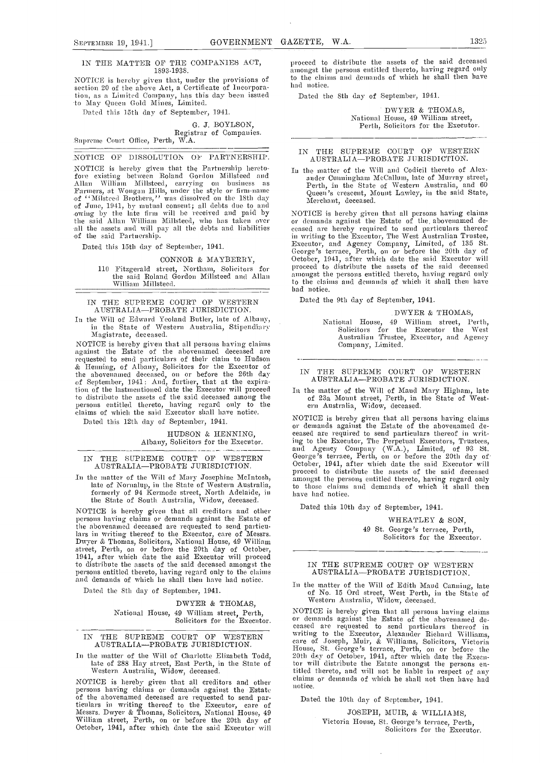#### IN THE MATTER OF THE COMPANiES ACT, 1893-1938.

NOTICE is hereby given that, under the provisions of section 20 of the above Act, a Certificate of incorporation, as a Limited Company, has this day been issued Dat to May Queen Gold Mines, Limited.

Dated this 15th day of September, 1941.

G. J. BOYLSON,<br>Registrar of Companies. Supreme Court Office, Perth, W.A.

NOTICE OF DISSOLUTION OF PARTNERSHIP.

NOTICE is hereby given that the Partnership heretofore existing between Roland Gordon Millsteed and Allan William Millsteed, carrying on business as<br>Farmers, at Wongan Hills, under the style or firm-name of "Milsteed Brothers," was dissolved on the 18th day<br>of June, 1941, by mutual consent; all debts due to and<br>owing by the late firm will be received and paid by NOTI

Dated this 15th day of September, 1941.

#### CONNOR & MAYBERRY,

110 Fitzgerald street, Northam, Solicitors for 1 the said Roland Gordon Millsteed and Allan amon William Milisteed.

IN THE SUPREME COURT OF WESTERN AUSTRALIA-PROBATE JURISDICTION.

In the Will of Edward Yeoland Butler, late of Albany, Jan in the State of Western Australia, Stipendiary<br>Magistrate, deceased.

NOTICE is hereby given that all persons having claims against the Estate of the abovenamed (leceased are requested to send particulars of their claim to Hudson  $\cdots$ the abovenamed deceased, on or before the 26th day TN of September, 1941: And, further, that at the expiration of the lastmentioned date the Executor will proceed  $_{\rm In\, t}$ to distribute the assets of the said deceased among the persons entitled thereto, having regard only to the claims of which the said Executor shall have notice.

Dated this 12th day of September, 1941.

HUDSON & HENNING, Albany, Solicitors for the Executor.

IN THE SUPREME COURT OF WESTERN George's AUSTRALIA-PROBATE JURISDICTION.

In the matter of the Will of Mary Josephine McIntosh,<br>late of Nornalup, in the State of Western Australia, formerly of 94 Kermode street, North Adelaide, in have the State of South Australia, Widow, deceased.

NOTICE is hereby given that all creditors and other persons having claims or demands against the Estate of the abovenamed deceased are requested to send particulars in writing thereof to the Executor, care of Messrs. Dwyer & Thomas, Solicitors, National House, 49 William street, Perth, on or before the 20th day of October, 1941, after which date the said Executor will proceed to distribute the assets of the said deceased amongst the persons entitled thereto, having regard only to the claims and demands of which he shall then have had notice.

Dated the 8th day of September, 1941.

DWYER & THOMAS, National House, 49 William street, Perth, Solicitors for the Executor.

#### IN THE SUPREME COURT OF WESTERN AUSTRALIA-PROBATE JURISDICTION.

NOTICE is hereby given that all creditors and other<br>persons having claims or demands against the Estate<br>of the abovenamed deceased are requested to send par-<br>ticulars in writing thereof to the Executor, care of<br>Messrs. Dwy

proceed to distribute the assets of the said deceased amongst the persons entitled thereto, having regard only to the claims and demands of which he shall then have had notice.

Dated the 8th day of September, 1941.

DWYER & THOMAS, National House, 49 William street, Perth, Solicitors for the Executor.

#### IN THE SUPREME COURT OF WESTERN AUSTRALIA-PROBATE JURISDICTION.

In the matter of the Will and Codicil thereto of Alex-Perth, in the State of Western Australia, and 60 Queen's crescent, Mount Lawley, in the said State, Merchant, deceased.

The said Allan William Millsteed, who has taken over all the said Allan William Millsteed, who has taken over all the assets and will pay all the debts and liabilities of the said Partnership.<br>The said Partnership. The sai ceased are hereby required to send particulars thereof in writing to the Executor, The West Australian Trustee, Executor, and Agency Company, Limited, of 135 St. George's terrace, Perth, on or before the 20th day of October, 1941, after which date the said Executor will proceed to distribute the assets of the said deceased amongst the persons entitled thereto, having regard only to the claims and demands of which it shall then have had notice.

Dated the 9th day of September, 1941.

#### DWYER & THOMAS,

National House, 49 William street, Perth, Solicitors for the Executor the West<br>Australian Trustee, Executor, and Agency Company, Limited.

#### IN THE SUPREME COURT OF WESTERN AUSTRALIA-PROBATE JURISDICTION.

In the matter of the Will of Maud Mary Higham, late of 23a Mount street, Perth, in the State of Western Australia, Widow, deceased.

NOTICE is hereby given that all persons having claims or denmands against the Estate of the abovenamed de- ceased are required to send particulars thereof in writ- big to tile Executor, Tile Perpetual Executors, Trustees, and Agency Company (W.A.), Limited, of 93 St. George's terrace, Pertli, on or before the 20th day of<br>October, 1941, after which date the said Executor will proceed to distribute the assets of the said deceased amongst the persons entitled thereto, having regard only<br>to those claims and demands of which it shall then have had notice.

Dated this 10th day of September, 1941.

WHEATLEY & SON, 49 St. George's terrace, Perth, Solicitors for the Executor.

#### IN THE SUPREME COURT OF WESTERN AUSTRALIA-PROBATE JURISDICTION.

In the matter of the Will of Edith Maud Canning, late of No. 15 Ord street, West Perth, in the State of Western Australia, Widow, deceased.

In the matter of the Will of Charlotte Elizabeth Todd, 20th day of October, 1941, after which date the Execulate of 288 Hay street, East Perth, in the State of will distribute the Estate amongst the persons en-<br>Western Aus NOTICE is hereby given that all persons having claims or demands against the Estate of the abovenamed de- ceased are recluested to send particulars thereof in writing to the Executor, Alexander Richard Williams,<br>care of Joseph, Muir, & Williams, Solicitors, Victoria<br>House, St. George's terrace, Perth, on or before the<br>20th day of October, 1941, after which date the Execn-<br>tor wi titled thereto, and will not be liable in respect of any claims or demands of which he shall not then have had notice.

Dated the 10th day of September, 1941.

JOSEPH, MUIR, & WILLIAMS, Victoria House, St. George's terrace, Perth, Solicitors for tile Executor.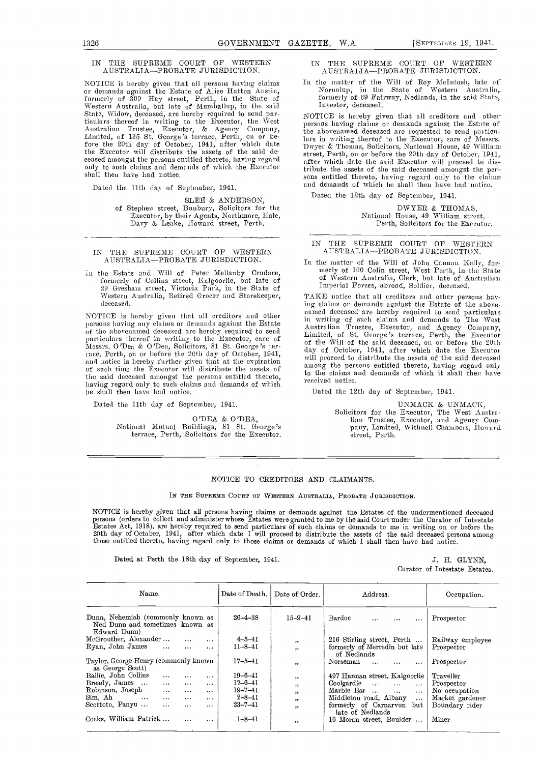#### IN THE SUPREME COURT OF WESTERN AUSTRALIA-PROBATE JURISDICTION.

NOTICE is hereby given that all persons having claims  $1$ or demands against the Estate of Alice Hutton A ustin, formerly of 300 Hay street, Perth, in the State of Western Australia, hut late of Mumballup, in the said State, Widow, deceased, are hereby required to send particulars thereof in writing to the Executor, the West Australian Trustee, Executor, & Agency Company, Limited, of 135 St. George's terrace, Perth, on or be-<br>fore the 20th day of October, 1941, after which date  $\frac{1}{Dw}$ fore the 20th day of October, 1941, after which date the Executor will distribute the assets of the said de-

Dated the 11th day of September, 1941.

SLEE & ANDERSON,

of Stephen street, Bunbury, Solicitors for the Executor, by their Agents, Northmore, Hale,<br>Davy & Leake, Howard street, Perth.

IN THE SUPREME COURT OF WESTERN AUSTRALIA-PROBATE JURISDICTION.

n the Estate and Will of Peter Mellanby Crudace, formerly of Collins street, Kalgoorlie, but late of 20 Greshans street, Victoria Park, in the State of Western Australia, Retired Grocer and Storekeeper, deceased.

NOTICE is hereby given that all creditors and other persons having any elainis or deniands against the Estate the said deceased amongst the persons entitled thereto, having regard only to such claims and demands of which he shall then have had notice.

Dated the 11th day of September, 1941.

O'DEA & O'DEA, National Mutual Buildings, 81 St. George's terrace, Perth, Solicitors for the Executor.

#### IN THE SUPREME COURT OF WESTERN AUSTRALIA-PROBATE JURISDICTION.

In the matter of the Will of Roy McIntosh, late of Nornalup, in the State of Western Áustralia,<br>formerly of 69 Fairway, Nedlands, in the said State, Investor, deceased.

ceased amongst the persons entitled thereto, having regard<br>only to such claims and demands of which the Executor<br>shall then have had notice.<br>shall then have had notice.<br>sons entitled thereto having regard only to the claim NOTICE is hereby given that all creditors and otherpersons having claims or demands against the Estate of the abovenamed deceased are requested to send partieulars in writing thereof to the Executor, care of Messrs. Dwyer & Thomas, Solicitors, National House, 49 William street, Perth, on or before the 20th day of October, 1941, tribute the assets of the said deceased amongst the per-- sons entitled thereto, having regard only to the chaima and, demands of which lie shall then have had notice.

Dated the 12th day of September, 1941.

DWYER & THOMAS, National House, 49 William street, Perth, Solicitors for the Executor.

#### IN THE SUPREME COURT OF WESTERN AUSTRALIA-PROBATE JURISDICTION.

In the matter of the Will of John Cannan Kelly, for-<br>merly of 100 Colin street, West Perth, in the State-<br>of Western Australia, Clerk, but late of Australian Imperial Forces, abroad, Soldier, deceased.

persons naving any enams or demands against the assue<br>of the abovenamed deceased are hereby required to send<br>particulars thereof in writing to the Executor, care of<br>particulars thereof in writing to the Executor care, and TAKE notice that all creditors and other persons having claims or demands against the Estate of the abovenamed deceased are hereby required to send particulars-<br>in writing of such claims and demands to The West Australian Trustee, Executor, and Agency Company, Limited, of St. George's terrace, Perth, the Executor of the Will of the said deceased, on or before the 20th among the persons entitled thereto, having regard only to the claims and demands of which it shall then have received notice.

Dated the 12th day of September, 1941.

UNMACK & UNMACK, Solicitors for the Executor, The West Austra-<br>lian Trustee, Executor, and Agency Company, Limited, Withnell Chambers, Howard street, Perth.

#### NOTICE TO CREDITORS AND CLAIMANTS.

IN THE SUPREME COURT OF WESTERN AUSTRALIA, PROBATE JURISDICTION.

NOTICE is hereby given that all persons having claims or demands against the Estates of the undermentioned deceased<br>persons (orders to collect and administer whose Estates were granted to me by the said Court under the Cur Estates Act, 1918), are hereby required to send particulars of such claims or demands to me in writing on or before the 20th day of October, 1941, after which date I will proceed to distribute the assets of the said deceas those entitled thereto, having regard only to those claims or demands of which I shall then have had notice.

Dated at Perth the 18th day of September, 1941. J. H. GLYNN,

Curator of Intestate Estates.

| Name.                                                                                |                      | Date of Death. | Date of Order. | Address.                                         | Occupation.      |
|--------------------------------------------------------------------------------------|----------------------|----------------|----------------|--------------------------------------------------|------------------|
| Dunn, Nehemiah (commonly known as<br>Ned Dunn and sometimes known as<br>Edward Dunn) |                      | $26 - 4 - 38$  | $15 - 9 - 41$  | Bardoc<br>$\cdots$<br>$\cdots$<br>$\cdots$       | Prospector       |
| McGrouther, Alexander                                                                | $\cdots$<br>$\cdots$ | $4 - 5 - 41$   | , ,            | 216 Stirling street, Perth                       | Railway employee |
| Ryan, John James<br>$\cdots$                                                         | $\cdots$<br>$\cdots$ | $11 - 8 - 41$  | ,,             | formerly of Merredin but late<br>of Nedlands     | Prospector       |
| Taylor, George Henry (commonly known<br>as George Scott)                             |                      | $17 - 5 - 41$  | , ,            | Norseman<br>$\cdots$<br>$\cdots$<br>$\cdots$     | Prospector       |
| Bailie. John Collins<br>$\cdots$                                                     | $\cdots$<br>$\cdots$ | $19 - 6 - 41$  | , ,            | 497 Hannan street, Kalgoorlie                    | Traveller        |
| Bready, James<br>$\cdots$                                                            | $\cdots$<br>$\cdots$ | $17 - 6 - 41$  | , ,            | Coolgardie<br>$\cdots$<br>$\cdots$<br>$\cdots$   | Prospector       |
| Robinson, Joseph<br>$\cdots$                                                         | $\cdots$<br>$\cdots$ | $19 - 7 - 41$  | , ,            | Marble Bar<br>$\cdots$<br>$\cdots$               | No occupation    |
| Sim. Ah<br>$\cdots$<br>$\cdots$                                                      | $\cdots$<br>$\cdots$ | $2 - 8 - 41$   | , ,            | Middleton road, Albany<br>$\cdots$               | Market gardener  |
| Scottoto, Panyu<br>$\cdots$                                                          | $\cdots$<br>$\cdots$ | $23 - 7 - 41$  | , ,            | formerly of Carnaryon<br>but<br>late of Nedlands | Boundary rider   |
| Cocks, William Patrick                                                               | $\cdots$<br>$\cdots$ | $1 - 8 - 41$   | , ,            | 16 Moran street, Boulder                         | Miner            |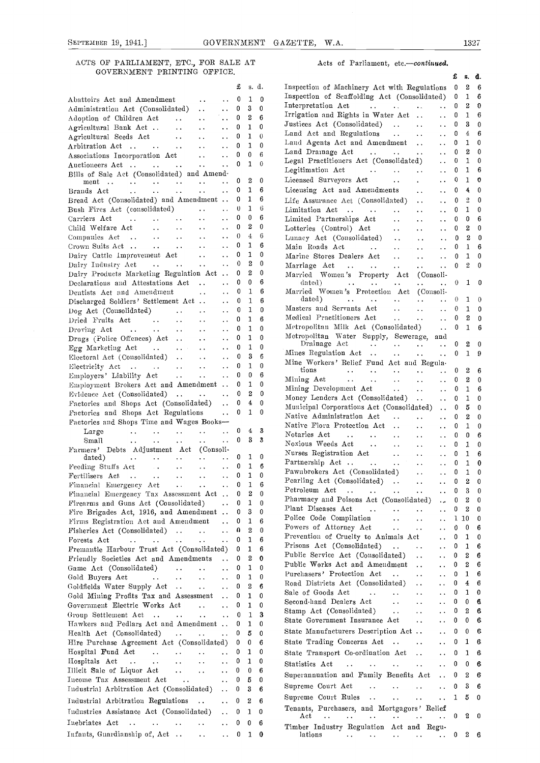#### ACTS OF PARLIAMENT, ETC., FOR SALE AT GOVERNMENT PRINTING OFFICE.

|                                                                                                                                                                               |                             |              |                  |                         | Inspection of Scaffolding Act (Consolidated)<br>0                                                                                                                                           | $\mathbf{1}$                   |
|-------------------------------------------------------------------------------------------------------------------------------------------------------------------------------|-----------------------------|--------------|------------------|-------------------------|---------------------------------------------------------------------------------------------------------------------------------------------------------------------------------------------|--------------------------------|
| Abattoirs Act and Amendment<br>$\ddot{\phantom{1}}$ .                                                                                                                         |                             | 0            | 1                | 0                       |                                                                                                                                                                                             |                                |
| Administration Act (Consolidated)<br>$\ddot{\phantom{a}}$                                                                                                                     | $\ddot{\phantom{0}}$        | 0            | 3                | $\mathbf{0}$            | Interpretation Act<br>and a series of the series of the<br>$\mathbf{A}$ .<br>0                                                                                                              | $^{\circ}$                     |
| $\ddot{\phantom{a}}$ .                                                                                                                                                        | $\ddot{\phantom{0}}$        | 0            | $\mathbf{2}$     | 6                       | Irrigation and Rights in Water Act<br>$\Omega$<br>$\ddot{\phantom{a}}$                                                                                                                      | $\mathbf{1}$                   |
| Adoption of Children Act<br>Agricultural Bank Act<br>$\sim$ $\sim$                                                                                                            |                             | 0            | 1                | $\mathbf{0}$            | Justices Act (Consolidated)<br>$\mathbf{0}$<br>$\ddot{\phantom{a}}$ .<br>$\sim$ $\sim$                                                                                                      | - 3                            |
|                                                                                                                                                                               | $\ddot{\phantom{0}}$        |              | $\mathbf{1}$     | $\Omega$                | Land Act and Regulations<br>$\bf{0}$<br>$\ddot{\phantom{a}}$ .<br>$\mathbf{r}$ .                                                                                                            | $\overline{4}$                 |
| Agricultural Seeds Act<br>$\ddotsc$                                                                                                                                           | $\ddot{\phantom{a}}$ .      | 0            |                  |                         | Land Agents Act and Amendment<br>0<br>$\ddotsc$                                                                                                                                             | $\mathbf{1}$                   |
| Arbitration Act<br>$\sim$ $\sim$                                                                                                                                              | $\ddot{\phantom{0}}$        | 0            | $\mathbf{1}$     | $\mathbf{0}$            |                                                                                                                                                                                             | $\overline{\mathbf{2}}$        |
| Associations Incorporation Act<br>$\sim$ $\sim$                                                                                                                               | $\ddot{\phantom{a}}$        | 0            | 0                | 6                       | Land Drainage Act<br>0<br>$\mathbf{A}(\mathbf{A})$ and $\mathbf{A}(\mathbf{A})$<br>$\ddotsc$<br>$\sim$ $\sim$                                                                               |                                |
| Auctioneers Act<br>$\sim$ $\sim$                                                                                                                                              | $\ddot{\phantom{a}}$        | $\mathbf{0}$ | $\mathbf{1}$     | $\Omega$                | Legal Practitioners Act (Consolidated)<br>$\overline{0}$<br>$\mathbf{r}$ , $\mathbf{r}$                                                                                                     | $\overline{1}$                 |
| Bills of Sale Act (Consolidated) and Amend-                                                                                                                                   |                             |              |                  |                         | Legitimation Act<br>$\Omega$<br>$\ddot{\phantom{a}}$<br>$\ddot{\phantom{a}}$ .                                                                                                              | $\mathbf{1}$                   |
| $\sim$ $\sim$                                                                                                                                                                 |                             | 0            | $\boldsymbol{2}$ | $\mathbf{0}$            | $\mathbf 0$<br>Licensed Surveyors Act<br>$\sim 10^{-1}$<br>$\ddot{\phantom{0}}$<br>$\ddotsc$                                                                                                | $\mathbf{1}$                   |
| the contract of the contract of the<br>ment                                                                                                                                   |                             |              | $\mathbf{1}$     | 6                       |                                                                                                                                                                                             | $\overline{4}$                 |
| $\ddot{\phantom{a}}$<br>Brands Act<br><b><i>Contractor</i></b><br>$\mathbf{L}(\mathbf{L})$ and $\mathbf{L}(\mathbf{L})$<br>$\ddotsc$                                          | $\ddot{\phantom{a}}$        | 0            |                  |                         | Licensing Act and Amendments<br>0<br>$\ddot{\phantom{a}}$<br>$\ddot{\phantom{a}}$                                                                                                           |                                |
| Bread Act (Consolidated) and Amendment                                                                                                                                        |                             | 0            | $\mathbf{1}$     | 6                       | Life Assurance Act (Consolidated)<br>0<br>$\ddot{\phantom{a}}$ .<br>$\ddot{\phantom{a}}$                                                                                                    | $\overline{2}$                 |
| Bush Fires Act (consolidated)<br>$\ddot{\phantom{a}}$ .                                                                                                                       | $\ddot{\phantom{a}}$        | $\theta$     | 1                | 6                       | Limitation Act<br>0<br>$\sim 10^{-10}$<br>$\ddot{\phantom{a}}$<br>$\ddot{\phantom{a}}$                                                                                                      | $\mathbf{1}$                   |
| Carriers Act<br><b>Contract Contract</b><br>$\mathbf{r}$ , and $\mathbf{r}$ , and $\mathbf{r}$<br>$\ddotsc$                                                                   | $\ddot{\phantom{0}}$        | 0            | $\bf{0}$         | 6                       | $\Omega$<br>Limited Partnerships Act<br>$\ddotsc$<br>$\ddot{\phantom{a}}$<br>$\ddot{\phantom{a}}$ .                                                                                         | $\overline{\mathbf{0}}$        |
| $\ddotsc$                                                                                                                                                                     | $\ddot{\phantom{a}}$        | 0            | 2                | $\mathbf{0}$            |                                                                                                                                                                                             | $^{\circ}$ 2                   |
| Child Welfare Act<br>$\bullet$ $\bullet$ $\bullet$ $\bullet$ $\bullet$<br>$\ddot{\phantom{a}}$                                                                                |                             |              |                  |                         | 0<br>Lotteries (Control) Act<br>$\sim 10^{-1}$<br>$\sim 10^{-1}$<br>$\ddotsc$                                                                                                               |                                |
| Companies Act<br>$\sim 100$ km $^{-1}$ and $\sim 100$<br>$\ddot{\phantom{a}}$ .                                                                                               | $\sim 10^{-10}$             | $\theta$     | $\overline{4}$   | 6                       | Lunacy Act (Consolidated)<br>$\sim 10^{-1}$<br>$\ddot{\phantom{a}}$                                                                                                                         | $\overline{2}$<br>$\mathbf{0}$ |
| <b>Contract Contract</b><br>Crown Suits Act<br>$\sim 10^{-1}$                                                                                                                 | $\sim 10^{-1}$              | 0            | $\mathbf{1}$     | 6                       | Main Roads Act<br><b>Contractor</b><br>0<br>$\ddot{\phantom{a}}$<br>$\mathbf{r}$<br>$\sim$ $\sim$<br>$\ddot{\phantom{a}}$                                                                   | -1                             |
| Dairy Cattle Improvement Act<br>$\sim 10^{-1}$                                                                                                                                | $\ddot{\phantom{a}}$ .      | 0            | $\mathbf{1}$     | 0                       | Marine Stores Dealers Act<br>$\ddotsc$<br>$\ddotsc$<br>$\ddot{\phantom{a}}$                                                                                                                 | 0 <sub>1</sub>                 |
| <b>Contract Contract</b><br>Dairy Industry Act<br>$\bullet$ $\bullet$ $\bullet$ $\bullet$ $\bullet$ $\bullet$                                                                 | $\sim 10^{-10}$             | $\theta$     | $\boldsymbol{2}$ | 0                       | Marriage Act<br>$\ddotsc$                                                                                                                                                                   | 0 <sub>2</sub>                 |
| Dairy Products Marketing Regulation Act                                                                                                                                       |                             | 0            | $\boldsymbol{2}$ | $\mathbf 0$             | $\ddot{\phantom{a}}$ .<br>$\ddot{\phantom{a}}$                                                                                                                                              |                                |
|                                                                                                                                                                               |                             |              |                  |                         | Married Women's Property Act<br>(Consoli-                                                                                                                                                   |                                |
| Declarations and Attestations Act                                                                                                                                             | $\sim 10^{-11}$             | 0            | $\mathbf{0}$     | 6                       | dated).<br>$\mathbf{A}$ and $\mathbf{A}$<br>$\ddot{\phantom{a}}$<br>$\mathbf{A} \bullet \mathbf{A}$ and $\mathbf{A} \bullet \mathbf{A}$<br>$\ddot{\phantom{a}}$ .<br>$\ddot{\phantom{a}}$ . | $0\quad1$                      |
| Dentists Act and Amendment<br>$\sim 100$                                                                                                                                      | $\mathbf{A}$                | $\bf{0}$     | $\mathbf{1}$     | 6                       | Married Women's Protection Act (Consoli-                                                                                                                                                    |                                |
| Discharged Soldiers' Settlement Act                                                                                                                                           | $\ddot{\phantom{0}}$        | 0            | $\mathbf{1}$     | 6                       | dated)<br>$\theta$<br>$\ddot{\phantom{a}}$<br>$\sim 10^{-1}$<br>$\ddot{\phantom{a}}$                                                                                                        | $\mathbf{1}$                   |
| Dog Act (Consolidated)<br>$\ddot{\phantom{0}}$<br>$\ddot{\phantom{1}}$ .                                                                                                      | $\ddot{\phantom{0}}$        | 0            | $\mathbf{1}$     | $\mathbf{0}$            | Masters and Servants Act<br>$\theta$<br>$\ddotsc$<br>$\ddot{\phantom{a}}$                                                                                                                   | $\mathbf{1}$                   |
|                                                                                                                                                                               |                             | 0            | $\mathbf{1}$     | 6                       | Medical Practitioners Act<br>0<br>$\ddotsc$<br>$\ddotsc$<br>$\ddot{\phantom{a}}$                                                                                                            | $^{\circ}$ 2                   |
| Dried Fruits Act<br>$\ddot{\phantom{a}}$ .<br>$\ddot{\phantom{a}}$ .                                                                                                          | $\ddot{\phantom{a}}$        |              |                  |                         | 0                                                                                                                                                                                           |                                |
| Droving Act<br>and a strong state of<br>$\sim 10^{-10}$<br>$\sim$ $\sim$                                                                                                      | $\ddot{\phantom{a}}$        | 0            | $\mathbf{1}$     | $\Omega$                | Metropolitan Milk Act (Consolidated)<br>$\ddot{\phantom{a}}$ .                                                                                                                              | $\mathbf{1}$                   |
| Drugs (Police Offences) Act<br>$\sim$ $\sim$                                                                                                                                  | $\ddot{\phantom{a}}$ .      | 0            | $\mathbf{1}$     | $\Omega$                | Metropolitan Water Supply, Sewerage, and                                                                                                                                                    |                                |
| Egg Marketing Act<br>$\mathbf{a} \cdot \mathbf{a} = \mathbf{b} \cdot \mathbf{a}$<br>$\ddot{\phantom{a}}$                                                                      | $\ddotsc$                   | 0            | $\mathbf{1}$     | $\mathbf{0}$            | Drainage Act<br>0<br>A 400 September 1980<br>$\sim 10^{-1}$                                                                                                                                 | - 2                            |
| Electoral Act (Consolidated)                                                                                                                                                  | $\sim$                      | 0            | 3                | $\epsilon$              | Mines Regulation Act<br>$\ddotsc$<br>$\sim 10^{-1}$<br>$\sim 10^{-10}$                                                                                                                      | $0\quad 1$                     |
| $\sim$ $\sim$                                                                                                                                                                 |                             |              |                  |                         | Mine Workers' Relief Fund Act and Regula-                                                                                                                                                   |                                |
| Electricity Act<br>$\sim$ $\sim$                                                                                                                                              | $\mathbf{r}$ , $\mathbf{r}$ | 0            | $\mathbf{1}$     | $\bf{0}$                | tions<br>0<br>$\ddot{\phantom{a}}$<br>$\mathbf{L}$ , and $\mathbf{L}$<br>$\ddotsc$<br>$\ddotsc$                                                                                             | $^{\circ}$                     |
| Employers' Liability Act<br>$\sim 10^{-10}$<br>$\sim$ $\sim$                                                                                                                  | $\mathbf{L}(\mathbf{r})$    | 0            | 0                | 6                       | Mining Act<br>0<br>$\mathbf{1}$ , $\mathbf{1}$ , $\mathbf{1}$ , $\mathbf{1}$ , $\mathbf{1}$ , $\mathbf{1}$<br>$\ddotsc$                                                                     | $\overline{2}$                 |
| Employment Brokers Act and Amendment                                                                                                                                          |                             | 0            | $\mathbf{1}$     | $\mathbf{0}$            | $\ddot{\phantom{0}}$<br>$\ddot{\phantom{a}}$                                                                                                                                                |                                |
| Evidence Act (Consolidated)                                                                                                                                                   | $\sim 10^{-10}$             | 0            | $\mathbf{2}$     | -0                      | Mining Development Act<br>$\sim 10^{-10}$<br>$\ddotsc$<br>0<br>$\mathbf{r}$ , $\mathbf{r}$ , $\mathbf{r}$                                                                                   | $\overline{1}$                 |
|                                                                                                                                                                               |                             |              | $\overline{4}$   | $\mathbf 0$             | Money Lenders Act (Consolidated)<br>$\ddotsc$<br>0<br>$\mathbf{A}$ .                                                                                                                        | $\mathbf{1}$                   |
| Factories and Shops Act (Consolidated)                                                                                                                                        | $\mathbf{A}$                | 0            |                  |                         | Municipal Corporations Act (Consolidated)<br>0                                                                                                                                              | 5                              |
| Factories and Shops Act Regulations                                                                                                                                           | $\ddot{\phantom{a}}$        | 0            | $\mathbf{1}$     | $\overline{0}$          | Native Administration Act<br>$\ddot{\phantom{a}}$<br>0<br>$\ddot{\phantom{a}}$<br>$\ddotsc$                                                                                                 | $\overline{2}$                 |
| Factories and Shops Time and Wages Books-                                                                                                                                     |                             |              |                  |                         | Native Flora Protection Act<br>0                                                                                                                                                            | $\mathbf{1}$                   |
| Large<br>$\mathbf{A}$ , and $\mathbf{A}$<br>$\mathbf{L}(\mathbf{x})$ and $\mathbf{L}(\mathbf{x})$<br>$\ddot{\phantom{a}}$ .<br>$\mathbf{A}$ and $\mathbf{A}$ and $\mathbf{A}$ | $\ddotsc$                   | 0            | $\overline{4}$   | -3                      | $\sim 10$<br>$\ddot{\phantom{a}}$<br>$\ddotsc$                                                                                                                                              |                                |
|                                                                                                                                                                               | $\sim 10^{-10}$             | $\mathbf{0}$ | -3               | $\overline{\mathbf{3}}$ | Notaries Act<br>$\sim 100$ km s $^{-1}$ .<br>0<br>$\mathbf{a}$ , $\mathbf{a}$ , $\mathbf{a}$<br>$\ddotsc$<br>$\sim 10^{-1}$<br>$\ddotsc$                                                    | $\mathbf{0}$                   |
| Small<br>$\ddot{\phantom{a}}$<br>$\ddot{\phantom{a}}$<br>$\ddotsc$<br>$\ddotsc$                                                                                               |                             |              |                  |                         | Noxious Weeds Act<br>$\sim 100$ km s $^{-1}$<br>$\mathbf{0}$<br>$\sim 10^{-1}$<br>$\ddot{\phantom{a}}$<br>$\ddot{\phantom{a}}$                                                              | -1                             |
| Farmers' Debts Adjustment Act (Consoli-                                                                                                                                       |                             |              |                  |                         | Nurses Registration Act<br>$\ddot{\phantom{a}}$<br>0<br>$\sim 100$<br>$\sim$ $\sim$                                                                                                         | $\mathbf{1}$                   |
| dated)<br>$\ddot{\phantom{a}}$<br>$\sim$ $\sim$<br>$\ddot{\phantom{a}}$<br>$\sim 100$ km s $^{-1}$                                                                            | $\sim 10^{-11}$             | 0            | $\mathbf{1}$     | - 0                     | Partnership Act<br>$\bf{0}$<br>$\ddot{\phantom{a}}$ .<br>$\mathbf{1}$ .                                                                                                                     | $\mathbf{1}$                   |
| Feeding Stuffs Act .<br>$\mathbf{A} \cdot \mathbf{A}$ .<br>$\sim$ $\sim$                                                                                                      | $\ddot{\phantom{a}}$        | 0            | 1                | - 6                     |                                                                                                                                                                                             |                                |
|                                                                                                                                                                               | <b>Contract</b>             | 0            | 1                | 0                       | Pawnbrokers Act (Consolidated)<br>0<br>$\ddotsc$<br>$\ddot{\phantom{a}}$ .                                                                                                                  | $\mathbf{1}$                   |
| <b>Contractor</b><br>$\sim 10^{-10}$ km $^{-1}$<br>Financial Emergency Act                                                                                                    | $\sim 10^{-11}$             | $\mathbf{0}$ | $\mathbf{1}$     | -6                      | Pearling Act (Consolidated)<br>$\ddotsc$<br>$\mathbf{0}$<br>$\sim$ $\sim$                                                                                                                   | $\overline{\phantom{a}}$       |
|                                                                                                                                                                               |                             | 0            | $\mathbf{2}$     | $\Omega$                | Petroleum Act<br>$\mathbf{0}$<br>$\ddot{\phantom{a}}$ .<br>$\ddot{\phantom{a}}$ .                                                                                                           | - 3                            |
| Financial Emergency Tax Assessment Act.                                                                                                                                       |                             |              |                  |                         | Pharmacy and Poisons Act (Consolidated)                                                                                                                                                     | $0\quad 2$                     |
| Firearms and Guns Act (Consolidated)                                                                                                                                          | $\ddot{\phantom{a}}$        | 0            | 1                | 0                       | $\ddotsc$<br>Plant Diseases Act                                                                                                                                                             |                                |
| Fire Brigades Act, 1916, and Amendment                                                                                                                                        |                             | 0            | 3                | 0                       | $\sim$ $\sim$ $\sim$<br>0<br>$\ddot{\phantom{a}}$ .<br>$\ddot{\phantom{a}}$<br>$\ddot{\phantom{a}}$                                                                                         | $\overline{\phantom{a}}^2$     |
| Firms Registration Act and Amendment                                                                                                                                          | $\ddot{\phantom{a}}$        | 0            | $\mathbf{1}$     | 6                       | Police Code Compilation<br>$\ddot{\phantom{a}}$<br>$\ddot{\phantom{a}}$<br>$\ddot{\phantom{a}}$                                                                                             | 110                            |
| Fisheries Act (Consolidated)                                                                                                                                                  | $\ddot{\phantom{a}}$        | o            | $\boldsymbol{2}$ | 0                       | Powers of Attorney Act<br>$\sim$ $\sim$<br>$\ddot{\phantom{a}}$<br>$\ddot{\phantom{a}}$                                                                                                     | $0\quad 0$                     |
|                                                                                                                                                                               |                             |              |                  |                         | Prevention of Cruelty to Animals Act<br>0<br>$\ddot{\phantom{a}}$                                                                                                                           | $\mathbf{1}$                   |
| and the state of<br>$\sim 10^{-11}$<br>Forests Act<br>$\sim$ 100 $\sim$ 100 $\sim$                                                                                            | $\ddot{\phantom{a}}$        | 0            | $\mathbf{1}$     | 6                       | Prisons Act (Consolidated)<br>$\sim 10^{-11}$<br>0<br>$\ddot{\phantom{a}}$ .<br>$\ddot{\phantom{a}}$                                                                                        | $\mathbf{1}$                   |
| Fremantle Harbour Trust Act (Consolidated)                                                                                                                                    |                             | 0            | 1                | 6                       |                                                                                                                                                                                             |                                |
| Friendly Societies Act and Amendments                                                                                                                                         | $\sim 10^{-1}$              | 0            | $\boldsymbol{2}$ | $\mathbf 0$             | Public Service Act (Consolidated)<br>$\ddot{\phantom{a}}$<br>$\ddotsc$                                                                                                                      | $0\quad 2$                     |
| Game Act (Consolidated)<br><b>Contractor Contractor</b>                                                                                                                       | $\ddot{\phantom{a}}$ .      | 0            | $\mathbf{1}$     | 0                       | Public Works Act and Amendment<br>$\ddot{\phantom{a}}$<br>$\ddot{\phantom{a}}$                                                                                                              | 0 <sub>2</sub>                 |
|                                                                                                                                                                               |                             | 0            | $\mathbf{1}$     | 0                       | Purchasers' Protection Act<br>$\mathbf{0}$<br>$\ddotsc$<br>$\ddotsc$                                                                                                                        | $\mathbf{1}$                   |
| Gold Buyers Act<br>and the contract of the contract of                                                                                                                        | $\ddot{\phantom{a}}$ .      |              |                  |                         | Road Districts Act (Consolidated)<br>$\ddot{\phantom{a}}$<br>$\ddotsc$                                                                                                                      | $0\quad 4$                     |
| Goldfields Water Supply Act<br>$\sim$ $\sim$                                                                                                                                  | $\ddotsc$                   | 0            | 2                | 6                       |                                                                                                                                                                                             | 0 <sub>1</sub>                 |
| Gold Mining Profits Tax and Assessment                                                                                                                                        |                             | 0            | $\mathbf{1}$     | $\bf{0}$                | Sale of Goods Act<br>$\sim 100$ km s $^{-1}$<br>$\mathbf{a}$ , $\mathbf{a}$ , $\mathbf{a}$<br>$\ddotsc$<br>$\bullet$ $\bullet$                                                              |                                |
| Government Electric Works Act                                                                                                                                                 | $\ddot{\phantom{a}}$        | 0            | $\mathbf{1}$     | $\mathbf 0$             | Second-hand Dealers Act<br>$\sim 10^{-1}$<br>$\ddotsc$<br>$\sim$ $\sim$                                                                                                                     | $0 \quad 0$                    |
|                                                                                                                                                                               |                             |              |                  | 3                       | Stamp Act (Consolidated)<br>$\sim 10^{-10}$<br>$\ddotsc$<br>$\ddot{\phantom{a}}$                                                                                                            | $0\quad 2$                     |
| Group Settlement Act<br><b>Carl Contract</b>                                                                                                                                  | $\mathbf{L}(\mathbf{r})$    | 0            | $\mathbf{1}$     |                         | State Government Insurance Act<br>$\sim 10^{-1}$<br>$\ddotsc$                                                                                                                               | $0\quad 0$                     |
| Hawkers and Pedlars Act and Amendment                                                                                                                                         |                             | 0            | $\mathbf{1}$     | $\mathbf 0$             |                                                                                                                                                                                             |                                |
| Health Act (Consolidated)                                                                                                                                                     | $\mathbf{1}$ , $\mathbf{1}$ | 0            | 5                | $\mathbf 0$             | State Manufacturers Description Act<br>$\ddot{\phantom{a}}$                                                                                                                                 | $0\quad 0$                     |
| Hire Purchase Agreement Act (Consolidated) 0                                                                                                                                  |                             |              | 0                | 6                       | State Trading Concerns Act<br>0<br>$\ddotsc$<br>$\ddot{\phantom{a}}$                                                                                                                        | $\mathbf{1}$                   |
| Hospital Fund Act<br><b>Contract Contract</b><br>$\ddot{\phantom{a}}$                                                                                                         | $\cdots$ 0                  |              | 1                | 0                       |                                                                                                                                                                                             | $\overline{1}$                 |
|                                                                                                                                                                               |                             |              |                  |                         | State Transport Co-ordination Act<br>$\mathbf{0}$<br>$\ddot{\phantom{a}}$                                                                                                                   |                                |
| Hospitals Act<br>and a series of the series of the<br>$\sim 100$ km s $^{-1}$                                                                                                 | $\sim 10^{-11}$             | 0            | $\mathbf{1}$     | 0                       | Statistics Act<br>$\ddot{\phantom{a}}$ .<br>$\mathbf{L}(\mathbf{L})$ and $\mathbf{L}(\mathbf{L})$<br>$\ddot{\phantom{a}}$<br>$\sim 10^{-1}$                                                 | $0\quad 0$                     |
| Illicit Sale of Liquor Act                                                                                                                                                    |                             |              | 0                | 6                       |                                                                                                                                                                                             |                                |
| Income Tax Assessment Act                                                                                                                                                     | $\sim 10^{-11}$             | 0            |                  |                         |                                                                                                                                                                                             |                                |
|                                                                                                                                                                               | $\sim 10^{-11}$             | 0            | 5                | $\mathbf{0}$            | Superannuation and Family Benefits Act<br>$\ddotsc$                                                                                                                                         | $0\quad 2$                     |
|                                                                                                                                                                               |                             |              | 3                | 6                       | Supreme Court Act<br>$\mathbf{r}$ , $\mathbf{r}$<br>$\mathbf{A} \mathbf{A} = \mathbf{A} \mathbf{A} \mathbf{A}$<br>$\mathcal{L}(\mathcal{L})$                                                | 0 <sup>3</sup>                 |
| Industrial Arbitration Act (Consolidated)                                                                                                                                     |                             | 0            |                  |                         |                                                                                                                                                                                             |                                |
| Industrial Arbitration Regulations                                                                                                                                            | $\sim$ $\sim$               | 0            | 2                | -6                      | Supreme Court Rules<br>$\sim 10^{-11}$                                                                                                                                                      | $1\quad 5$                     |
|                                                                                                                                                                               |                             | 0            | $\mathbf{1}$     | $\mathbf{0}$            | Tenants, Purchasers, and Mortgagors' Relief                                                                                                                                                 |                                |
| Industries Assistance Act (Consolidated)                                                                                                                                      | $\ddotsc$                   |              |                  |                         | Act<br>$\mathcal{L}(\mathbf{z},\mathbf{z})$ . The contribution of $\mathcal{L}(\mathbf{z},\mathbf{z})$<br><b>Contract Contract Contract</b><br>$\sim 10^{-11}$                              | $0\quad 2$                     |
| Infants, Guardianship of, Act                                                                                                                                                 | $\ddot{\phantom{a}}$ .      | 0            | 0                | 6                       | Timber Industry Regulation Act and Regu-                                                                                                                                                    |                                |

#### Acts of Parliament, etc.-continued.

|                                                                                                                          |                                         |                                |                                 | £<br>s. d.                                                                                                                                                    |  |
|--------------------------------------------------------------------------------------------------------------------------|-----------------------------------------|--------------------------------|---------------------------------|---------------------------------------------------------------------------------------------------------------------------------------------------------------|--|
|                                                                                                                          | £                                       | s. d.                          |                                 | 2<br>Inspection of Machinery Act with Regulations 0<br>6                                                                                                      |  |
| Abattoirs Act and Amendment<br>$\ddot{\phantom{a}}$ .<br>$\ddot{\phantom{1}}$ .                                          | 0                                       | $\mathbf{1}$                   | $\theta$                        | Inspection of Scaffolding Act (Consolidated)<br>$\mathbf{1}$<br>6<br>$\overline{\phantom{0}}$                                                                 |  |
| Administration Act (Consolidated)<br>$\ddotsc$<br>$\sim$ $\sim$                                                          | 0                                       | 3                              | $\boldsymbol{0}$                | Interpretation Act<br>$\mathbf{2}$<br>$\cdots$ 0<br>$\mathbf 0$                                                                                               |  |
| Adoption of Children Act<br>$\ddotsc$<br>$\sim 100$                                                                      | 0                                       | $\boldsymbol{2}$               | -6                              | Irrigation and Rights in Water Act<br>$\mathbf{1}$<br>$\ldots$ 0<br>-6<br>Justices Act (Consolidated)<br>3<br>0<br>$\bf{0}$                                   |  |
| Agricultural Bank Act<br>$\sim$ $\sim$<br>$\sim 10^{-1}$                                                                 | 0                                       | $\mathbf{1}$                   | 0                               | $\sim 10^{-10}$<br>Land Act and Regulations<br>$\overline{4}$<br>- 6<br>$\ddots$ 0                                                                            |  |
| Agricultural Seeds Act<br>$\sim 100$ km s $^{-1}$                                                                        | 0                                       | $\mathbf{1}$                   | $\Omega$                        | Land Agents Act and Amendment<br>$\mathbf{1}$<br>$\mathbf{A} \cdot \mathbf{A}$<br>0<br>-0                                                                     |  |
| $\mathbf{A} \in \mathbb{R}^{n \times n}$                                                                                 | $\ddots$ 0                              | $\mathbf{1}$                   | - 0                             | Land Drainage Act<br>$\boldsymbol{2}$<br>$\mathbf 0$<br>0<br>$\sim 10^{-11}$                                                                                  |  |
|                                                                                                                          |                                         |                                |                                 | Legal Practitioners Act (Consolidated)<br>$\ldots$ 0<br>$\mathbf{1}$<br>- 0                                                                                   |  |
| Bills of Sale Act (Consolidated) and Amend-                                                                              |                                         |                                |                                 | Legitimation Act<br>$\mathbf{1}$<br>$\mathbf 0$<br>6                                                                                                          |  |
|                                                                                                                          | $\cdots$ 0                              | $^{2}$                         | $\overline{\phantom{0}}$        | Licensed Surveyors Act<br>$\mathbf{1}$<br>$\mathbf 0$<br>- 0<br>$\sim 100$                                                                                    |  |
| . 0 1<br>Brands Act                                                                                                      |                                         |                                | 6                               | Licensing Act and Amendments<br>$\overline{\mathbf{A}}$<br>$\bf{0}$<br>- 0<br>$\sim 10^{-1}$                                                                  |  |
| Bread Act (Consolidated) and Amendment  0 1                                                                              |                                         |                                | 6                               | $\overline{2}$<br>Life Assurance Act (Consolidated)<br>$\boldsymbol{0}$<br>0<br>$\sim 10^{-11}$                                                               |  |
| Bush Fires Act (consolidated)                                                                                            | $\mathbf{0}$                            | 1                              | 6                               | Limitation Act<br>$1\quad 0$<br>$\mathbf{0}$<br>$\ddotsc$                                                                                                     |  |
| $\mathbf{A}$                                                                                                             | $\bf{0}$                                | 0                              | 6                               | Limited Partnerships Act<br>$\mathbf{0}$<br>$\Omega$<br>6<br>$\mathbf{A}$ .                                                                                   |  |
| Child Welfare Act                                                                                                        | 0                                       | 2                              | 0                               | Lotteries (Control) Act<br>$\boldsymbol{2}$<br>$\mathbf 0$<br>$\boldsymbol{0}$<br>$\mathbf{A}$ and $\mathbf{A}$<br>$\sim 10^{-1}$                             |  |
| $\langle\cdot\,,\,\cdot\rangle$<br>Companies Act<br>Crown Suits Act                                                      | $\overline{0}$                          | $\overline{4}$                 | -6                              | Lunacy Act (Consolidated)<br>$^{2}$<br>$\mathbf{0}$<br>$\mathbf{0}$<br>$\sim 10^{-10}$<br>$\sim 10^{-1}$                                                      |  |
|                                                                                                                          | $\mathbf{0}$                            | 1                              | 6                               | Main Roads Act<br>$\mathbf{0}$<br>$1\quad 6$<br>$\sim$ $\sim$                                                                                                 |  |
| Dairy Cattle Improvement Act   0<br>Dairy Industry Act                                                                   | $\cdots$ 0                              | 1<br>$\boldsymbol{2}$          | 0<br>$\mathbf 0$                | Marine Stores Dealers Act<br>$\mathbf{1}$<br>$\cdots$ 0<br>- 0                                                                                                |  |
| Dairy Products Marketing Regulation Act 0                                                                                |                                         | 2                              | 0                               | $2 \quad 0$<br>Marriage Act<br>$\mathbf{0}$<br>$\sim 10^{-11}$                                                                                                |  |
| Declarations and Attestations Act                                                                                        | $\cdots$ 0                              | 0                              | 6                               | Married Women's Property Act (Consoli-<br>$\text{data}$ $\ldots$ $\ldots$ $\ldots$<br>$\ldots$ 0 1 0                                                          |  |
| Dentists Act and Amendment                                                                                               | $\ldots$ 0                              | 1                              | 6                               | Married Women's Protection Act (Consoli-                                                                                                                      |  |
| Discharged Soldiers' Settlement Act                                                                                      | $\sim 10^{-11}$<br>0                    | $\mathbf{1}$                   | 6                               | dated)<br>$\mathcal{L}^{\mathcal{L}}$ . The contribution of the contribution of $\mathcal{L}^{\mathcal{L}}$<br>$\cdots$ 0 1 0                                 |  |
| Dog Act (Consolidated)                                                                                                   | $\ldots$ 0                              | $\mathbf{1}$                   | $\Omega$                        | Masters and Servants Act<br>$\ddots$ 0<br>$\mathbf{1}$<br>- 0                                                                                                 |  |
| Dried Fruits Act                                                                                                         | $\ldots$ 0                              | 1                              | 6                               | Medical Practitioners Act<br>$\mathbf{0}$<br>$^{2}$<br>0                                                                                                      |  |
| $\mathcal{L}^{\mathcal{A}}$ . The contract of the contract of the contract of $\mathcal{L}^{\mathcal{A}}$<br>Droving Act | $\mathbb{Z}^{\mathbb{Z}^{\times}}$<br>0 | $\mathbf{1}$                   | $\Omega$                        | Metropolitan Milk Act (Consolidated)  0<br>$\mathbf{1}$<br>-6                                                                                                 |  |
| Drugs (Police Offences) Act                                                                                              | 0<br>$\sim 10^{-1}$                     | $\mathbf{1}$                   | $\Omega$                        | Metropolitan Water Supply, Sewerage, and                                                                                                                      |  |
| Egg Marketing Act                                                                                                        | 0<br>$\sim 10^{-1}$                     | $\mathbf{1}$                   | $\bf{0}$                        | Drainage Act $\cdots$ $\cdots$ $\cdots$ 0<br>$\mathbf{2}$<br>$\mathbf{0}$<br>1 9                                                                              |  |
| Electoral Act (Consolidated)<br>$\ddotsc$                                                                                | 0                                       | 3                              | -6                              | Mines Regulation Act 0<br>Mine Workers' Relief Fund Act and Regula-                                                                                           |  |
| $\overline{1}$ .                                                                                                         | $\mathbf 0$                             | $\mathbf{1}$                   | $\boldsymbol{0}$                | tions<br>$\mathcal{L}^{\mathcal{A}}$ . The contribution of the contribution of $\mathcal{L}^{\mathcal{A}}$<br>$\mathbf{0}$<br>2<br>- 6<br>$\sim 10^{-10}$     |  |
| Employers' Liability Act<br>$\mathbf{r}$ .                                                                               | $\bf{0}$                                | 0                              | -6                              | Mining Act<br>$\mathbf{2}$<br>$\mathbf{0}$<br>- 0<br>$\sim 10^{-11}$                                                                                          |  |
| Employment Brokers Act and Amendment  0                                                                                  |                                         | $\mathbf{1}$                   | - 0<br>$\overline{\phantom{0}}$ | Mining Development Act<br>$\mathbf{1}$<br>$\ddots$ 0<br>- 6                                                                                                   |  |
| Evidence Act (Consolidated)    0<br>Factories and Shops Act (Consolidated)  0                                            |                                         | $\mathbf{2}$<br>$\overline{4}$ | - 0                             | Money Lenders Act (Consolidated)<br>$\mathbf{1}$<br>$\sim 10^{-1}$<br>0<br>$\mathbf{0}$                                                                       |  |
| Factories and Shops Act Regulations                                                                                      | $\ldots$ 0 1 0                          |                                |                                 | Municipal Corporations Act (Consolidated).<br>5<br>0<br>0                                                                                                     |  |
| Factories and Shops Time and Wages Books-                                                                                |                                         |                                |                                 | Native Administration Act<br>$\boldsymbol{2}$<br>$\mathbf{L}(\mathbf{r})$<br>0<br>$\bf{0}$                                                                    |  |
| and the contract of the contract of the contract of<br>Large                                                             | $\mathbf{0}$                            | $4\quad 3$                     |                                 | Native Flora Protection Act<br>$\mathbf{1}$<br>$\mathbf{1}$ , $\mathbf{1}$<br>0<br>$\mathbf 0$<br>$\sim 10^{-11}$                                             |  |
| and the state of the state of the state of<br>Small                                                                      | $\therefore$ 0 3 3                      |                                |                                 | Notaries Act<br>0<br>the state of the state of the state<br>$\mathbf{0}$<br>6<br>$\mathbf{a}$ , $\mathbf{a}$ , $\mathbf{a}$ , $\mathbf{a}$<br>$\sim 10^{-11}$ |  |
| Farmers' Debts Adjustment Act (Consoli-                                                                                  |                                         |                                |                                 | Noxious Weeds Act<br>1<br>$\cdots$ 0<br>0<br>$\mathbf{r}$ , $\mathbf{r}$ , $\mathbf{r}$<br>Nurses Registration Act                                            |  |
| dated)<br>and a series of the contract of the<br>$\mathbf{A}$ , and $\mathbf{A}$                                         | $\ldots$ 0 1 0                          |                                |                                 | $\cdots$ $\cdots$ 0<br>$1\quad 6$<br>Partnership Act<br>$\cdots$ 0<br>$\mathbf{1}$<br>$\mathbf{A} \in \mathbb{R}^{n \times n}$<br>- 0                         |  |
|                                                                                                                          |                                         | $1\quad 6$                     |                                 | Pawnbrokers Act (Consolidated)<br>$\mathcal{L}_{\mathcal{A}}$ .<br>$\mathbf{1}$<br>$\mathbf{L}$<br>0<br>- 0                                                   |  |
| Fertilisers Act                                                                                                          | 0<br>$\ddotsc$                          | $1\quad 0$                     |                                 | Pearling Act (Consolidated)<br>$\begin{array}{ccccccccc}\n\cdot & & 0 & & 2 & & 0\n\end{array}$                                                               |  |
| Financial Emergency Act   0 1 6                                                                                          |                                         |                                |                                 | Petroleum Act<br>$\therefore$ 0 3 0                                                                                                                           |  |
| Financial Emergency Tax Assessment Act 0<br>$\cdots$ 0 1                                                                 |                                         | $\mathbf{2}$                   | 0<br>0                          | Pharmacy and Poisons Act (Consolidated)  0<br>$2\quad 0$                                                                                                      |  |
| Firearms and Guns Act (Consolidated)<br>Fire Brigades Act, 1916, and Amendment  0                                        |                                         | 3                              | 0                               | Plant Diseases Act<br>$\ldots$ 0<br>$2\quad 0$                                                                                                                |  |
| Firms Registration Act and Amendment  0                                                                                  |                                         | 1                              | 6                               | Police Code Compilation<br>$\therefore$ 1 10<br>- 0                                                                                                           |  |
|                                                                                                                          |                                         | 2                              | $\mathbf{0}$                    | Powers of Attorney Act<br>0<br>$\mathbf{1}$ , $\mathbf{1}$<br>0<br>- 6                                                                                        |  |
|                                                                                                                          |                                         |                                |                                 | Prevention of Cruelty to Animals Act<br>$\mathcal{L}_{\bullet}$ .<br>$1\quad 0$<br>$\mathbf{0}$                                                               |  |
| Fremantle Harbour Trust Act (Consolidated) 0 1 6                                                                         |                                         |                                |                                 | Prisons Act (Consolidated)<br>$1\quad 6$<br>$\mathbf{1}$ , $\mathbf{1}$<br>0                                                                                  |  |
| Friendly Societies Act and Amendments  0                                                                                 |                                         | 2                              | $\mathbf{0}$                    | Public Service Act (Consolidated)<br>$\cdots$ 0<br>$2\quad 6$                                                                                                 |  |
| Game Act (Consolidated)  0 1 0                                                                                           |                                         |                                |                                 | Public Works Act and Amendment<br>$2\quad 6$<br>$\ldots$ 0<br>Purchasers' Protection Act<br>$1\quad 6$                                                        |  |
|                                                                                                                          |                                         | $1\quad 0$                     |                                 | $\sim 10^{-11}$<br>$\cdots$ 0<br>$4\quad 6$<br>Road Districts Act (Consolidated)<br>$\cdots$ 0                                                                |  |
| Goldfields Water Supply Act    0                                                                                         |                                         | 2                              | - 6                             | $\mathbf{1}$<br>$\overline{0}$<br>$\mathbf{A}$ and $\mathbf{A}$<br>$\cdots$ 0                                                                                 |  |
| Gold Mining Profits Tax and Assessment  0 1 0                                                                            |                                         |                                |                                 | $\ldots$ 0 0 6                                                                                                                                                |  |
| Government Electric Works Act   0 1 0                                                                                    |                                         |                                |                                 | Second-hand Dealers Act<br>Stamp Act (Consolidated)<br>$2\quad 6$<br>$\cdots$ 0                                                                               |  |
| Group Settlement Act    0 1 3                                                                                            |                                         |                                |                                 | State Government Insurance Act<br>$\ldots$ 0 0 6                                                                                                              |  |
| Hawkers and Pedlars Act and Amendment  0 1 0<br>Health Act (Consolidated)   0 5                                          |                                         |                                | $\overline{\phantom{0}}$        | State Manufacturers Description Act<br>0 <sub>6</sub><br>$\cdots$ 0                                                                                           |  |
| Hire Purchase Agreement Act (Consolidated) 0 0                                                                           |                                         |                                | -6                              | State Trading Concerns Act<br>$1\quad 6$<br>$\cdots$ 0                                                                                                        |  |
|                                                                                                                          |                                         |                                | 0                               | State Transport Co-ordination Act<br>$1\quad 6$<br>$\mathbf{1}$ , $\mathbf{1}$<br>$\mathbf 0$                                                                 |  |
|                                                                                                                          |                                         |                                | 0                               |                                                                                                                                                               |  |
|                                                                                                                          |                                         | $\mathbf 0$                    | 6                               | 0 <sub>6</sub><br>$\ddotsc$<br>0                                                                                                                              |  |
| Income Tax Assessment Act   0 5                                                                                          |                                         |                                | $\mathbf 0$                     | Superannuation and Family Benefits Act<br>$2\quad 6$<br>$\mathbf{0}$                                                                                          |  |
| Industrial Arbitration Act (Consolidated)  0 3 6                                                                         |                                         |                                |                                 | 36<br>$\mathbf{0}$                                                                                                                                            |  |
| Industrial Arbitration Regulations   0 2 6                                                                               |                                         |                                |                                 | Supreme Court Rules     1 5 0                                                                                                                                 |  |
| Industries Assistance Act (Consolidated)<br>$\ddot{\phantom{a}}$                                                         | $\mathbf{0}$                            | $1\quad0$                      |                                 | Tenants, Purchasers, and Mortgagors' Relief                                                                                                                   |  |
|                                                                                                                          |                                         |                                |                                 | Act<br>$\begin{array}{ccccccccc}\n\cdot & 0 & 2 & 0\n\end{array}$                                                                                             |  |
|                                                                                                                          | $\mathbf{0}$                            | 0 <sub>0</sub>                 |                                 | Timber Industry Regulation Act and Regu-                                                                                                                      |  |
| Infants, Guardianship of, Act  0 1 0                                                                                     |                                         |                                |                                 | lations 0 2 6                                                                                                                                                 |  |